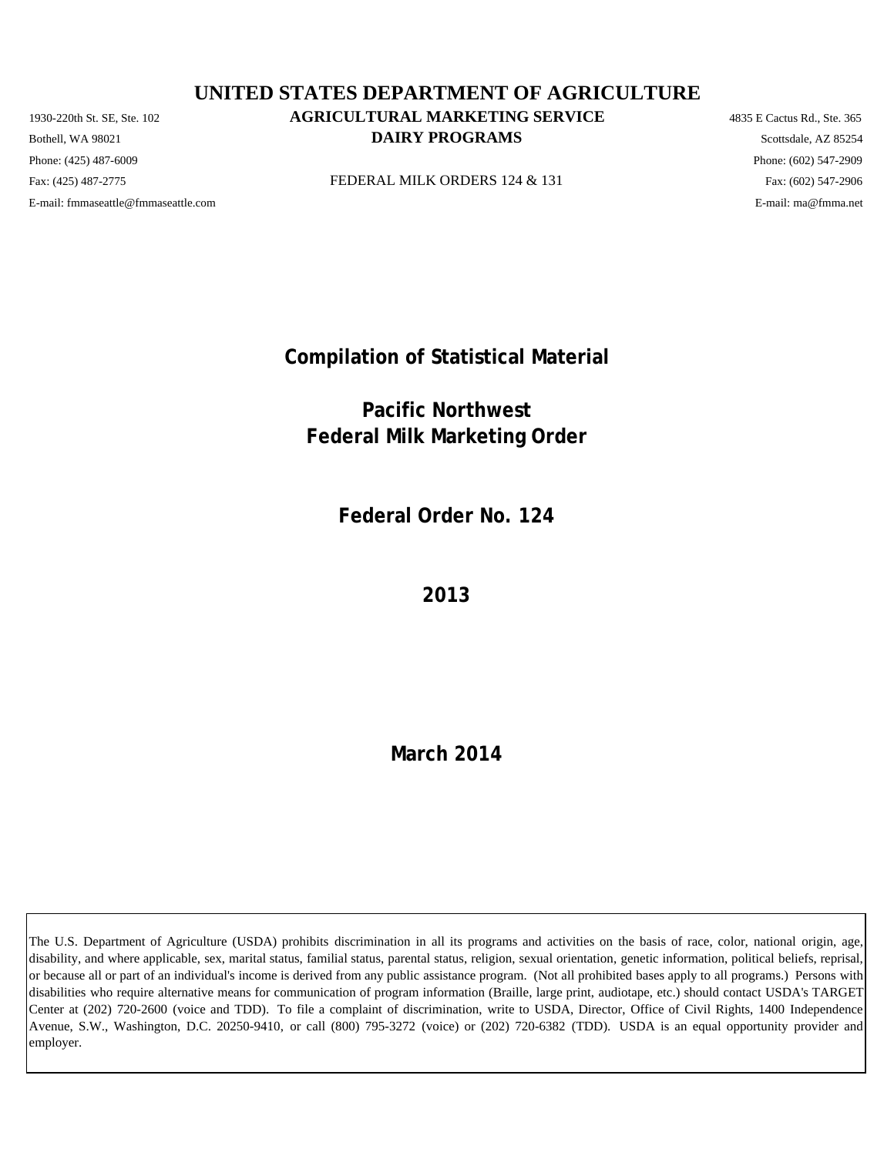Phone: (425) 487-6009 Phone: (602) 547-2909 E-mail: fmmaseattle@fmmaseattle.com E-mail: ma@fmma.net

# 1930-220th St. SE, Ste. 102 **AGRICULTURAL MARKETING SERVICE** 4835 E Cactus Rd., Ste. 365 **DAIRY PROGRAMS** Scottsdale, AZ 85254 **UNITED STATES DEPARTMENT OF AGRICULTURE**

Fax: (425) 487-2775 **FEDERAL MILK ORDERS 124 & 131** Fax: (425) 487-2775 Fax: (602) 547-2906

**Compilation of Statistical Material**

**Pacific Northwest Federal Milk Marketing Order**

**Federal Order No. 124**

**2013**

**March 2014**

The U.S. Department of Agriculture (USDA) prohibits discrimination in all its programs and activities on the basis of race, color, national origin, age, disability, and where applicable, sex, marital status, familial status, parental status, religion, sexual orientation, genetic information, political beliefs, reprisal, or because all or part of an individual's income is derived from any public assistance program. (Not all prohibited bases apply to all programs.) Persons with disabilities who require alternative means for communication of program information (Braille, large print, audiotape, etc.) should contact USDA's TARGET Center at (202) 720-2600 (voice and TDD). To file a complaint of discrimination, write to USDA, Director, Office of Civil Rights, 1400 Independence Avenue, S.W., Washington, D.C. 20250-9410, or call (800) 795-3272 (voice) or (202) 720-6382 (TDD). USDA is an equal opportunity provider and employer.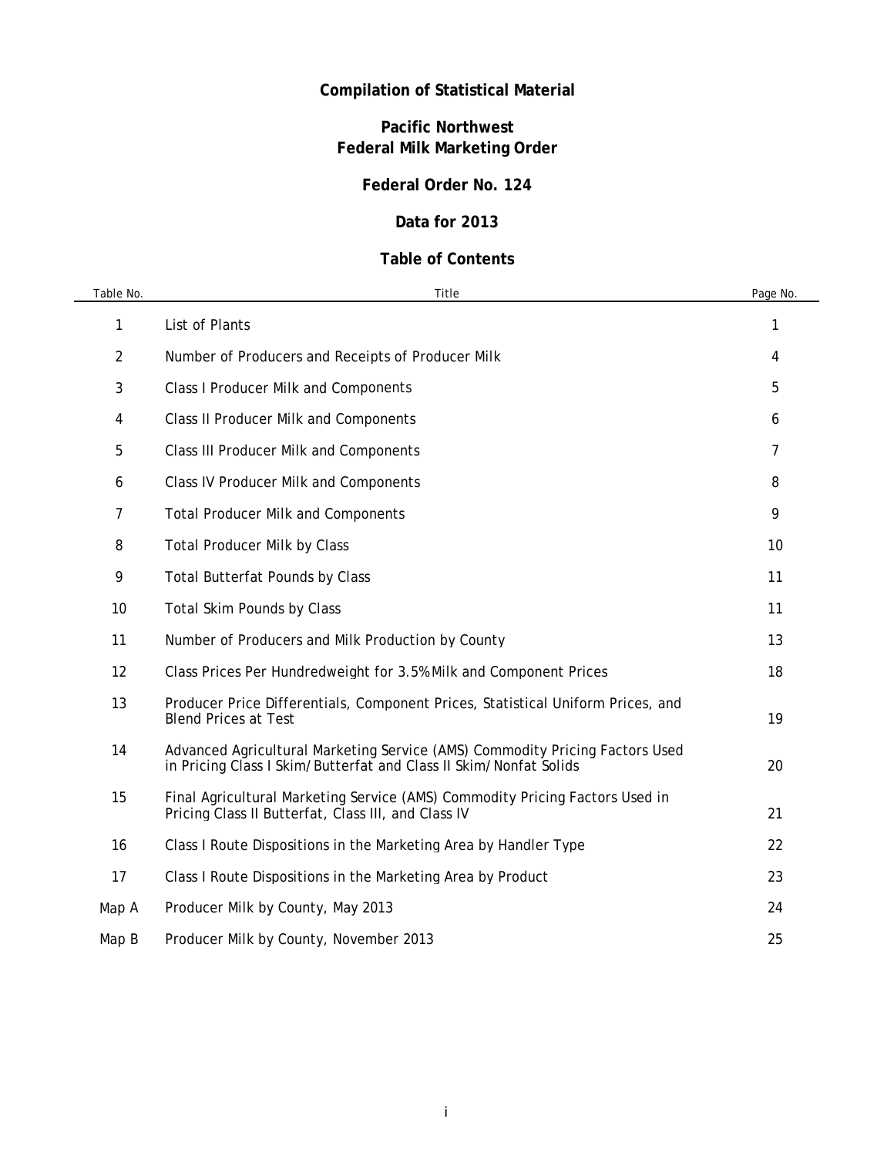# **Compilation of Statistical Material**

# **Pacific Northwest Federal Milk Marketing Order**

# **Federal Order No. 124**

## **Data for 2013**

## **Table of Contents**

| Table No. | Title                                                                                                                                             | Page No. |
|-----------|---------------------------------------------------------------------------------------------------------------------------------------------------|----------|
| 1         | List of Plants                                                                                                                                    | 1        |
| 2         | Number of Producers and Receipts of Producer Milk                                                                                                 | 4        |
| 3         | <b>Class I Producer Milk and Components</b>                                                                                                       | 5        |
| 4         | <b>Class II Producer Milk and Components</b>                                                                                                      | 6        |
| 5         | <b>Class III Producer Milk and Components</b>                                                                                                     | 7        |
| 6         | <b>Class IV Producer Milk and Components</b>                                                                                                      | 8        |
| 7         | <b>Total Producer Milk and Components</b>                                                                                                         | 9        |
| 8         | <b>Total Producer Milk by Class</b>                                                                                                               | 10       |
| 9         | <b>Total Butterfat Pounds by Class</b>                                                                                                            | 11       |
| 10        | Total Skim Pounds by Class                                                                                                                        | 11       |
| 11        | Number of Producers and Milk Production by County                                                                                                 | 13       |
| 12        | Class Prices Per Hundredweight for 3.5% Milk and Component Prices                                                                                 | 18       |
| 13        | Producer Price Differentials, Component Prices, Statistical Uniform Prices, and<br><b>Blend Prices at Test</b>                                    | 19       |
| 14        | Advanced Agricultural Marketing Service (AMS) Commodity Pricing Factors Used<br>in Pricing Class I Skim/Butterfat and Class II Skim/Nonfat Solids | 20       |
| 15        | Final Agricultural Marketing Service (AMS) Commodity Pricing Factors Used in<br>Pricing Class II Butterfat, Class III, and Class IV               | 21       |
| 16        | Class I Route Dispositions in the Marketing Area by Handler Type                                                                                  | 22       |
| 17        | Class I Route Dispositions in the Marketing Area by Product                                                                                       | 23       |
| Map A     | Producer Milk by County, May 2013                                                                                                                 | 24       |
| Map B     | Producer Milk by County, November 2013                                                                                                            | 25       |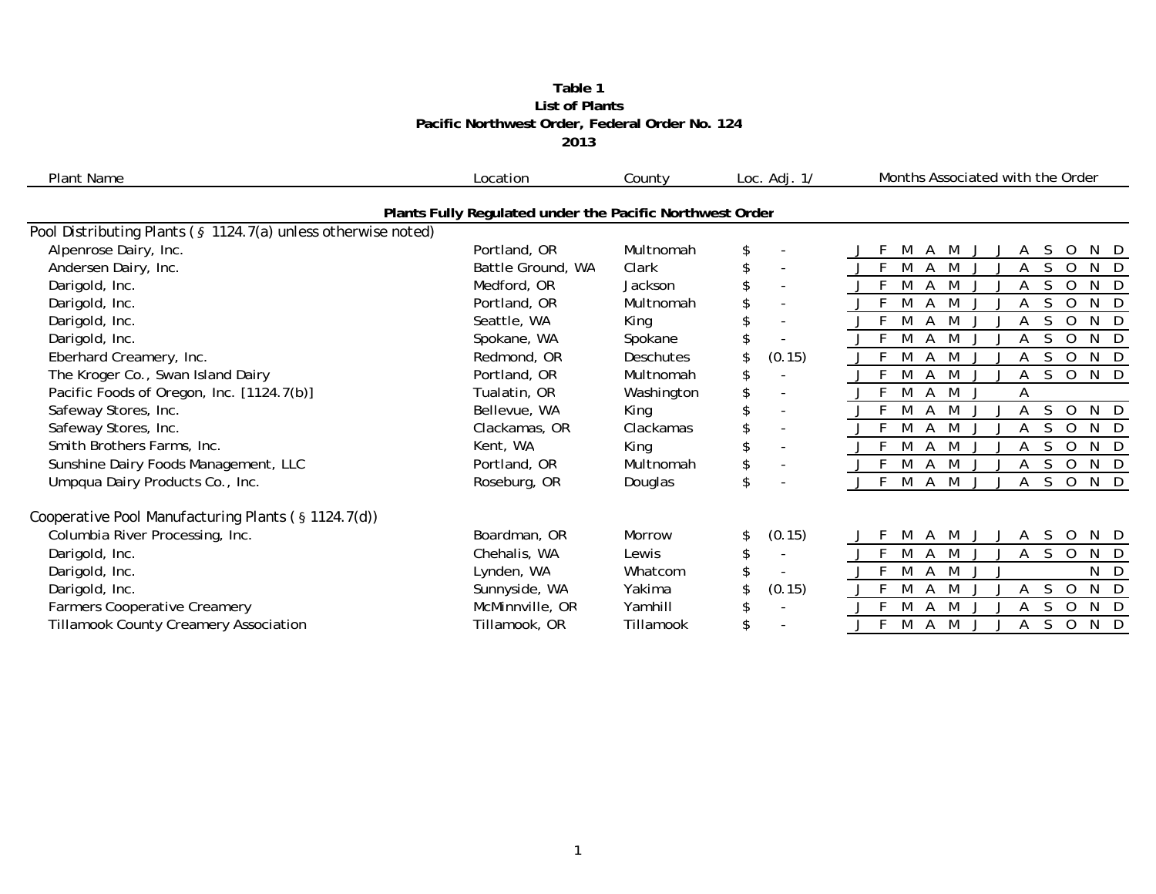#### **2013 Pacific Northwest Order, Federal Order No. 124 List of Plants Table 1**

| <b>Plant Name</b>                                             | Location                                                 | County           | Loc. $Adj. 1/$                 | Months Associated with the Order                |
|---------------------------------------------------------------|----------------------------------------------------------|------------------|--------------------------------|-------------------------------------------------|
|                                                               | Plants Fully Regulated under the Pacific Northwest Order |                  |                                |                                                 |
| Pool Distributing Plants (§ 1124.7(a) unless otherwise noted) |                                                          |                  |                                |                                                 |
| Alpenrose Dairy, Inc.                                         | Portland, OR                                             | Multnomah        | $\overline{\phantom{a}}$       | M<br>M<br>S<br>N D<br>A<br>А<br>O               |
| Andersen Dairy, Inc.                                          | Battle Ground, WA                                        | Clark            | $\sim$                         | M<br>S<br>N D<br>M<br>$\Omega$                  |
| Darigold, Inc.                                                | Medford, OR                                              | Jackson          | $\overline{\phantom{a}}$       | N D<br>M<br>$\Omega$<br>M                       |
| Darigold, Inc.                                                | Portland, OR                                             | Multnomah        | $\overline{\phantom{a}}$       | $N$ D<br>$\Omega$                               |
| Darigold, Inc.                                                | Seattle, WA                                              | King             | $\overline{\phantom{a}}$       | N D<br>$\Omega$<br>M                            |
| Darigold, Inc.                                                | Spokane, WA                                              | Spokane          |                                | N D<br>M<br>$\Omega$<br>M                       |
| Eberhard Creamery, Inc.                                       | Redmond, OR                                              | <b>Deschutes</b> | (0.15)                         | N D<br>M<br>S<br>$\Omega$<br>M                  |
| The Kroger Co., Swan Island Dairy                             | Portland, OR                                             | Multnomah        | \$                             | N D<br>S.<br>$\circ$<br>A                       |
| Pacific Foods of Oregon, Inc. [1124.7(b)]                     | Tualatin, OR                                             | Washington       |                                | M<br>Α                                          |
| Safeway Stores, Inc.                                          | Bellevue, WA                                             | King             | $\overline{\phantom{a}}$       | N D<br>S.<br>$\Omega$<br>M                      |
| Safeway Stores, Inc.                                          | Clackamas, OR                                            | Clackamas        | $\blacksquare$                 | N D<br>M<br>M<br>$\Omega$<br>A                  |
| Smith Brothers Farms, Inc.                                    | Kent, WA                                                 | King             | $\overline{\phantom{a}}$       | N D<br>$\Omega$                                 |
| Sunshine Dairy Foods Management, LLC                          | Portland, OR                                             | Multnomah        | \$<br>$\overline{\phantom{a}}$ | N D<br>0<br>M<br>M                              |
| Umpqua Dairy Products Co., Inc.                               | Roseburg, OR                                             | Douglas          | \$                             | N D<br>$\Omega$<br>M<br>M<br>S.<br>A            |
| Cooperative Pool Manufacturing Plants (§ 1124.7(d))           |                                                          |                  |                                |                                                 |
| Columbia River Processing, Inc.                               | Boardman, OR                                             | Morrow           | (0.15)                         | S.<br>N D<br>M<br>M<br>$\overline{O}$<br>A<br>A |
| Darigold, Inc.                                                | Chehalis, WA                                             | Lewis            | $\overline{\phantom{a}}$       | M<br>S.<br>N D<br>Α<br>M<br>$\Omega$<br>A       |
| Darigold, Inc.                                                | Lynden, WA                                               | Whatcom          |                                | N D<br>M                                        |
| Darigold, Inc.                                                | Sunnyside, WA                                            | Yakima           | (0.15)                         | N D<br>S<br>$\Omega$                            |
| <b>Farmers Cooperative Creamery</b>                           | McMinnville, OR                                          | Yamhill          | $\overline{a}$                 | N D<br>$\Omega$                                 |
| Tillamook County Creamery Association                         | Tillamook, OR                                            | Tillamook        | \$                             | N D<br>S<br>$\circ$<br>M<br>M<br>A              |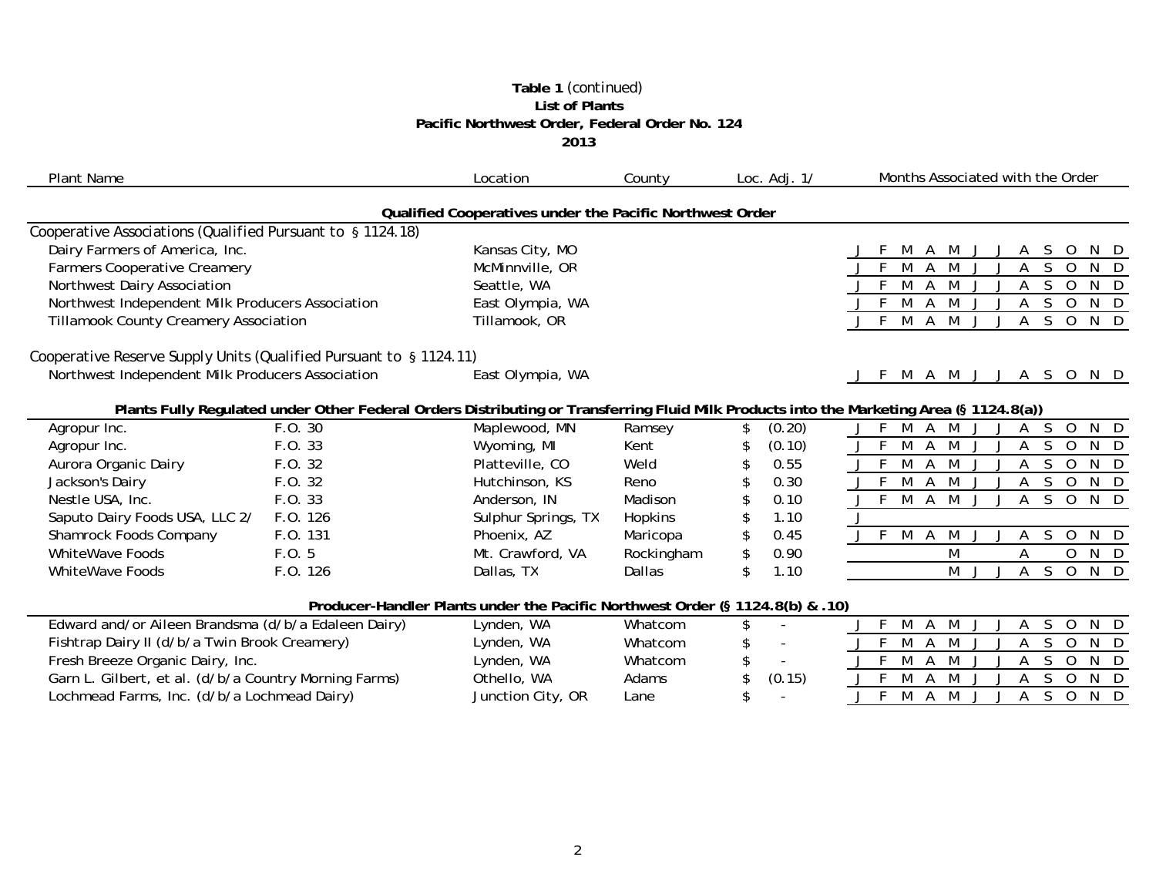#### **Table 1** *(continued)* **List of Plants Pacific Northwest Order, Federal Order No. 124 2013**

| <b>Plant Name</b>                                                  |             | Location                                                                      | County       | Loc. $Adj. 1/$                           | Months Associated with the Order                                                                                                         |
|--------------------------------------------------------------------|-------------|-------------------------------------------------------------------------------|--------------|------------------------------------------|------------------------------------------------------------------------------------------------------------------------------------------|
|                                                                    |             | Qualified Cooperatives under the Pacific Northwest Order                      |              |                                          |                                                                                                                                          |
| Cooperative Associations (Qualified Pursuant to § 1124.18)         |             |                                                                               |              |                                          |                                                                                                                                          |
| Dairy Farmers of America, Inc.                                     |             | Kansas City, MO                                                               |              |                                          | M<br>A M<br>S.<br>$\circ$<br>J<br>A<br>N D                                                                                               |
| <b>Farmers Cooperative Creamery</b>                                |             | McMinnville, OR                                                               |              |                                          | M<br>S<br>$\overline{0}$<br>A<br>M<br>$N$ D<br>A                                                                                         |
| Northwest Dairy Association                                        |             | Seattle, WA                                                                   |              |                                          | M<br>M<br>S.<br>A<br>$\Omega$<br>N <sub>D</sub>                                                                                          |
| Northwest Independent Milk Producers Association                   |             | East Olympia, WA                                                              |              |                                          | $N$ D<br>F<br>M<br>M<br>S.<br>Α<br>$\mathbf 0$                                                                                           |
| <b>Tillamook County Creamery Association</b>                       |             | Tillamook, OR                                                                 |              |                                          | M<br><sub>S</sub><br>$J$ F<br>A M<br>$\overline{O}$<br>N D<br>A                                                                          |
| Cooperative Reserve Supply Units (Qualified Pursuant to § 1124.11) |             |                                                                               |              |                                          |                                                                                                                                          |
| Northwest Independent Milk Producers Association                   |             | East Olympia, WA                                                              |              |                                          | M A M J J A S O N D<br>J F                                                                                                               |
|                                                                    |             |                                                                               |              |                                          | Plants Fully Regulated under Other Federal Orders Distributing or Transferring Fluid Milk Products into the Marketing Area (§ 1124.8(a)) |
| Agropur Inc.                                                       | F.O. 30     | Maplewood, MN                                                                 | Ramsey       | (0.20)<br>\$                             | $S$ O<br>N D<br>J F M A M<br>A<br>$\cdot$                                                                                                |
| Agropur Inc.                                                       | F.O. 33     | Wyoming, MI                                                                   | Kent         | (0.10)<br>\$                             | <sub>S</sub><br>F<br>M<br>M<br>A<br>$\Omega$<br>N <sub>D</sub><br>$\mathbf{j}$                                                           |
| Aurora Organic Dairy                                               | F.O. 32     | Platteville, CO                                                               | Weld         | 0.55<br>\$                               | F<br>M<br>M<br>S.<br>$\Omega$<br>N D<br>A                                                                                                |
| Jackson's Dairy                                                    | F.0.32      | Hutchinson, KS                                                                | Reno         | 0.30<br>\$                               | M<br>A M<br>S.<br>$\overline{O}$<br>N D<br>A                                                                                             |
| Nestle USA, Inc.                                                   | F.O. 33     | Anderson, IN                                                                  | Madison      | 0.10                                     | F.<br>M<br>A M<br>S.<br>N D<br>$\Omega$<br>$\cdot$<br>A                                                                                  |
| Saputo Dairy Foods USA, LLC 2/                                     | F.O. 126    | Sulphur Springs, TX                                                           | Hopkins      | \$<br>1.10                               | J                                                                                                                                        |
| Shamrock Foods Company                                             | F.O. 131    | Phoenix, AZ                                                                   | Maricopa     | \$<br>0.45                               | J F M A M<br>$S$ O<br>N D<br>A<br>J                                                                                                      |
| <b>WhiteWave Foods</b>                                             | F.0.5       | Mt. Crawford, VA                                                              | Rockingham   | \$<br>0.90                               | N D<br>M<br>0<br>A                                                                                                                       |
| <b>WhiteWave Foods</b>                                             | F.O. 126    | Dallas, TX                                                                    | Dallas       | \$<br>1.10                               | M<br>A<br>$\mathsf{S}$<br>$N$ D<br>J<br>$\overline{O}$                                                                                   |
|                                                                    |             | Producer-Handler Plants under the Pacific Northwest Order (§ 1124.8(b) & .10) |              |                                          |                                                                                                                                          |
| Edward and/or Aileen Brandsma (d/b/a Edaleen Dairy)                |             | Lynden, WA                                                                    | Whatcom      | \$                                       | M<br>A M<br><sub>S</sub><br>N D<br>F.<br>Α<br>$\Omega$                                                                                   |
| Fishtrap Dairy II (d/b/a Twin Brook Creamery)                      |             | Lynden, WA                                                                    | Whatcom      | \$<br>$\overline{\phantom{a}}$           | $\mathsf{F}$<br>M<br><sub>S</sub><br>$\mathsf{A}$<br>M<br>$\Omega$<br>N D<br>A                                                           |
| Fresh Breeze Organic Dairy, Inc.                                   |             | Lynden, WA                                                                    | Whatcom      | \$<br>$\sim$                             | M<br>M<br>S.<br>$\Omega$<br>N D<br>E<br>A<br>A                                                                                           |
| Garn L. Gilbert, et al. (d/b/a Country Morning Farms)              | Othello, WA | Adams                                                                         | \$<br>(0.15) | M<br>S<br>$N$ D<br>M<br>$\mathbf 0$<br>A |                                                                                                                                          |
| Lochmead Farms, Inc. (d/b/a Lochmead Dairy)                        |             | Junction City, OR                                                             | Lane         | \$                                       | -F<br>S.<br>M<br>M<br>$\Omega$<br>N D<br>A<br>A<br>$\cdot$<br>$\Box$                                                                     |
|                                                                    |             |                                                                               |              |                                          |                                                                                                                                          |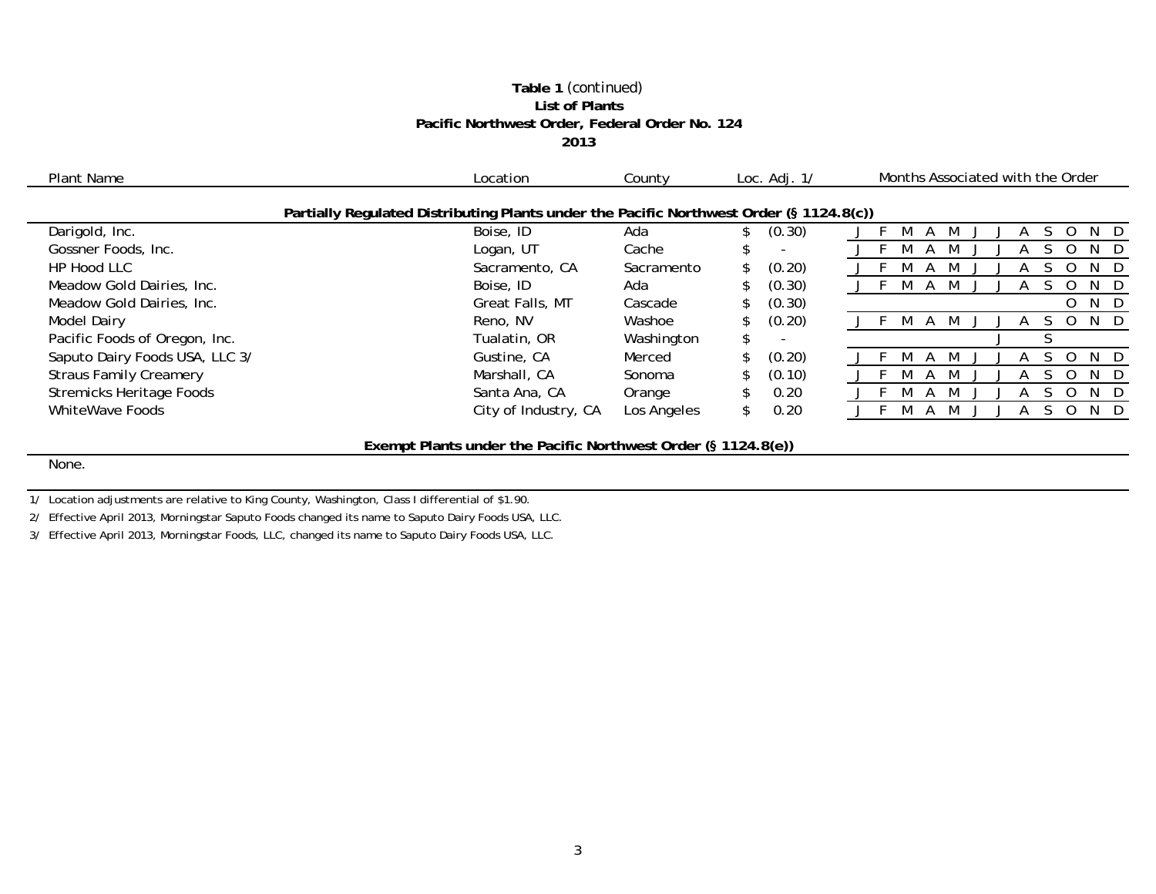#### **Table 1** *(continued)* **List of Plants Pacific Northwest Order, Federal Order No. 124 2013**

| Plant Name<br>Location          |                                                                                         | County      |     | Loc. $Adj. 1/$ |              | Months Associated with the Order |   |         |
|---------------------------------|-----------------------------------------------------------------------------------------|-------------|-----|----------------|--------------|----------------------------------|---|---------|
|                                 | Partially Regulated Distributing Plants under the Pacific Northwest Order (§ 1124.8(c)) |             |     |                |              |                                  |   |         |
| Darigold, Inc.                  | Boise, ID                                                                               | Ada         |     | (0.30)         |              |                                  |   | N.<br>Ð |
| Gossner Foods, Inc.             | Logan, UT                                                                               | Cache       |     |                |              |                                  |   | N       |
| HP Hood LLC                     | Sacramento, CA                                                                          | Sacramento  | \$  | (0.20)         |              |                                  |   |         |
| Meadow Gold Dairies, Inc.       | Boise, ID                                                                               | Ada         | \$  | (0.30)         | $\mathsf{A}$ |                                  |   | N       |
| Meadow Gold Dairies, Inc.       | Great Falls, MT                                                                         | Cascade     |     | (0.30)         |              |                                  | 0 | N D     |
| <b>Model Dairy</b>              | Reno, NV                                                                                | Washoe      |     | (0.20)         |              |                                  |   | N.<br>D |
| Pacific Foods of Oregon, Inc.   | Tualatin, OR                                                                            | Washington  | \$  |                |              |                                  |   |         |
| Saputo Dairy Foods USA, LLC 3/  | Gustine, CA                                                                             | Merced      |     | (0.20)         |              |                                  |   | N       |
| <b>Straus Family Creamery</b>   | Marshall, CA                                                                            | Sonoma      |     | (0.10)         |              |                                  |   |         |
| <b>Stremicks Heritage Foods</b> | Santa Ana, CA                                                                           | Orange      |     | 0.20           |              |                                  |   | N       |
| WhiteWave Foods                 | City of Industry, CA                                                                    | Los Angeles | \$. | 0.20           |              |                                  |   |         |
|                                 |                                                                                         |             |     |                |              |                                  |   |         |
|                                 | Exempt Plants under the Pacific Northwest Order (§ 1124.8(e))                           |             |     |                |              |                                  |   |         |
| None.                           |                                                                                         |             |     |                |              |                                  |   |         |

1/ Location adjustments are relative to King County, Washington, Class I differential of \$1.90.

 $\sim$ 

2/ Effective April 2013, Morningstar Saputo Foods changed its name to Saputo Dairy Foods USA, LLC.

3/ Effective April 2013, Morningstar Foods, LLC, changed its name to Saputo Dairy Foods USA, LLC.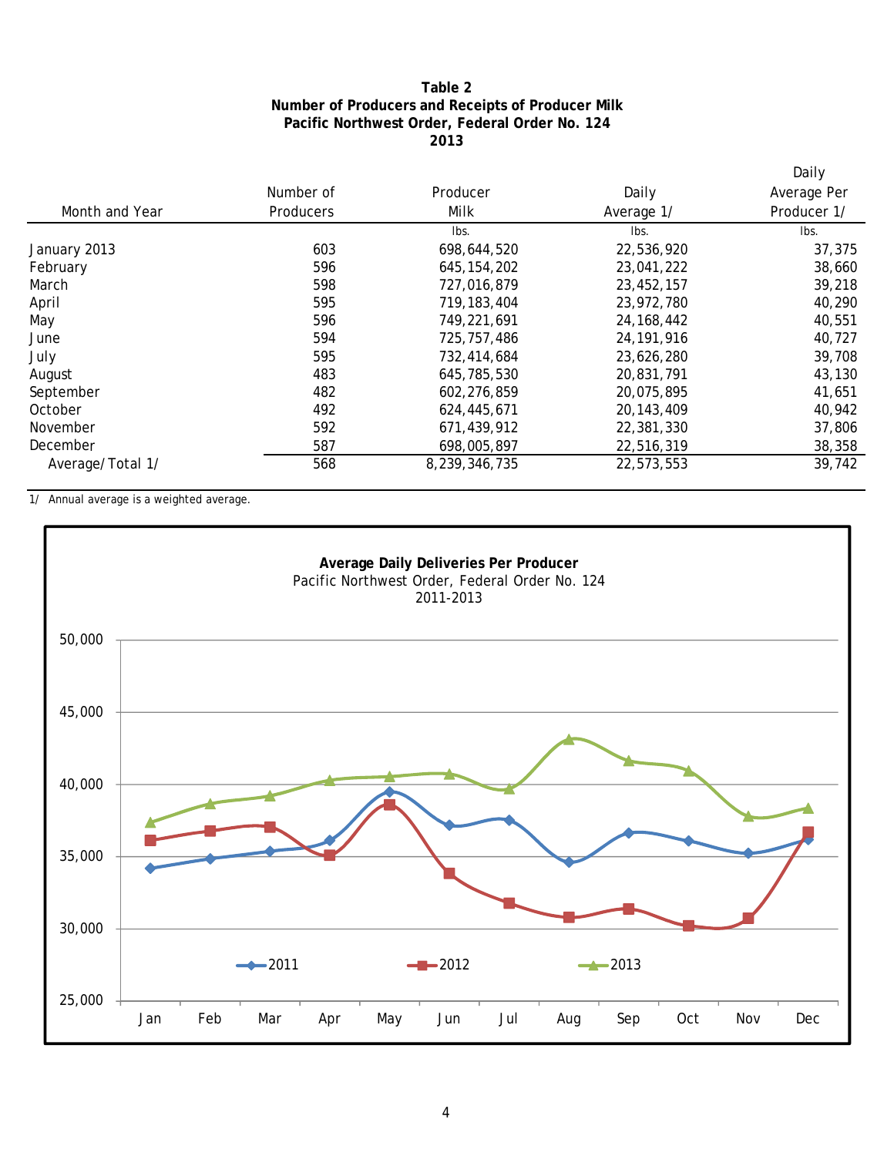## **2013 Pacific Northwest Order, Federal Order No. 124 Number of Producers and Receipts of Producer Milk Table 2**

|                  |           |               |              | Daily       |
|------------------|-----------|---------------|--------------|-------------|
|                  | Number of | Producer      | Daily        | Average Per |
| Month and Year   | Producers | Milk          | Average 1/   | Producer 1/ |
|                  |           | lbs.          | Ibs.         | Ibs.        |
| January 2013     | 603       | 698,644,520   | 22,536,920   | 37,375      |
| February         | 596       | 645, 154, 202 | 23,041,222   | 38,660      |
| March            | 598       | 727,016,879   | 23,452,157   | 39,218      |
| April            | 595       | 719, 183, 404 | 23,972,780   | 40,290      |
| May              | 596       | 749,221,691   | 24, 168, 442 | 40,551      |
| June             | 594       | 725, 757, 486 | 24, 191, 916 | 40,727      |
| July             | 595       | 732,414,684   | 23,626,280   | 39,708      |
| August           | 483       | 645,785,530   | 20,831,791   | 43,130      |
| September        | 482       | 602,276,859   | 20,075,895   | 41,651      |
| October          | 492       | 624,445,671   | 20, 143, 409 | 40,942      |
| November         | 592       | 671,439,912   | 22,381,330   | 37,806      |
| December         | 587       | 698,005,897   | 22,516,319   | 38,358      |
| Average/Total 1/ | 568       | 8,239,346,735 | 22,573,553   | 39,742      |

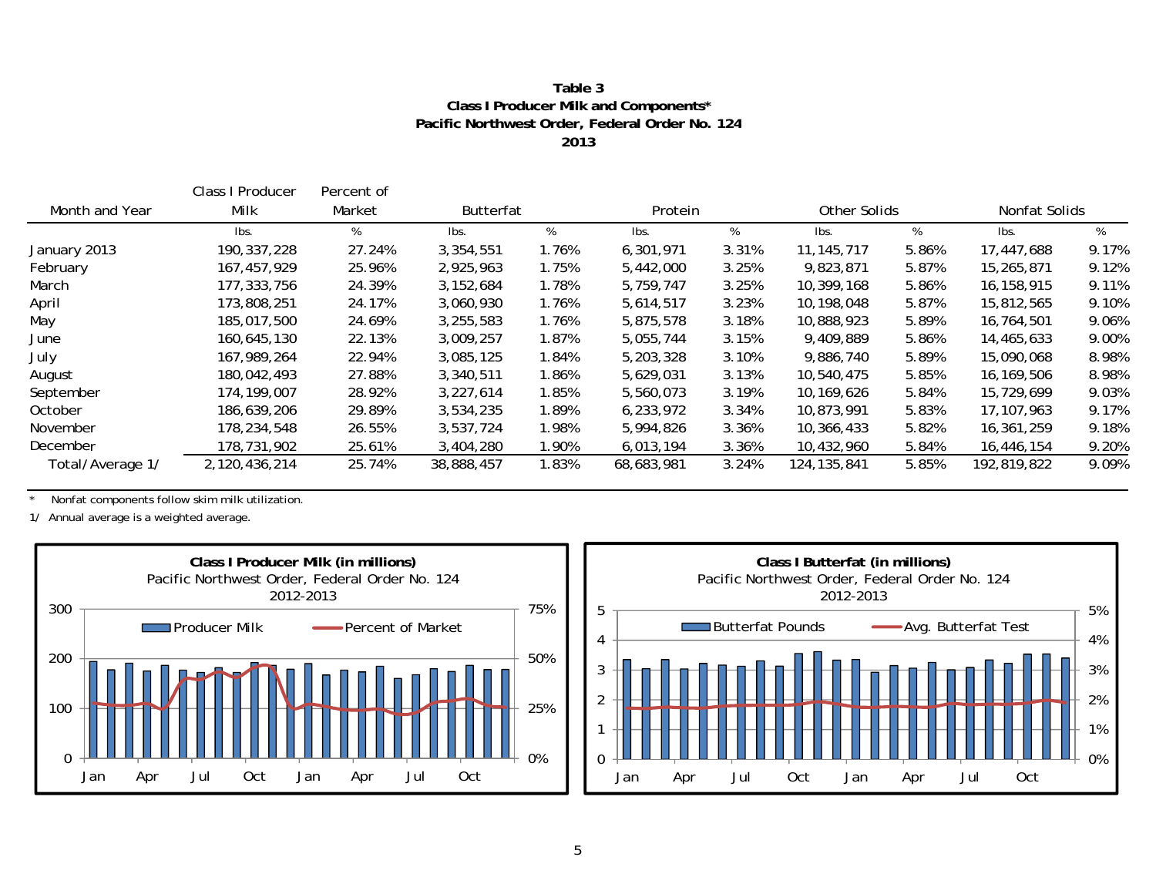#### **2013Pacific Northwest Order, Federal Order No. 124 Class I Producer Milk and Components\* Table 3**

|                  | Class I Producer | Percent of |                  |       |            |         |               |              |              |               |
|------------------|------------------|------------|------------------|-------|------------|---------|---------------|--------------|--------------|---------------|
| Month and Year   | Milk             | Market     | <b>Butterfat</b> |       |            | Protein |               | Other Solids |              | Nonfat Solids |
|                  | Ibs.             | %          | lbs.             | %     | lbs.       | %       | Ibs.          | %            | Ibs.         | %             |
| January 2013     | 190, 337, 228    | 27.24%     | 3,354,551        | 1.76% | 6,301,971  | 3.31%   | 11, 145, 717  | 5.86%        | 17,447,688   | 9.17%         |
| February         | 167, 457, 929    | 25.96%     | 2,925,963        | 1.75% | 5,442,000  | 3.25%   | 9,823,871     | 5.87%        | 15,265,871   | 9.12%         |
| March            | 177,333,756      | 24.39%     | 3,152,684        | 1.78% | 5,759,747  | 3.25%   | 10,399,168    | 5.86%        | 16,158,915   | 9.11%         |
| April            | 173,808,251      | 24.17%     | 3,060,930        | 1.76% | 5,614,517  | 3.23%   | 10,198,048    | 5.87%        | 15,812,565   | 9.10%         |
| May              | 185,017,500      | 24.69%     | 3,255,583        | 1.76% | 5,875,578  | 3.18%   | 10,888,923    | 5.89%        | 16,764,501   | 9.06%         |
| June             | 160,645,130      | 22.13%     | 3,009,257        | 1.87% | 5,055,744  | 3.15%   | 9,409,889     | 5.86%        | 14,465,633   | 9.00%         |
| July             | 167,989,264      | 22.94%     | 3,085,125        | 1.84% | 5,203,328  | 3.10%   | 9,886,740     | 5.89%        | 15,090,068   | 8.98%         |
| August           | 180,042,493      | 27.88%     | 3,340,511        | 1.86% | 5,629,031  | 3.13%   | 10,540,475    | 5.85%        | 16,169,506   | 8.98%         |
| September        | 174, 199, 007    | 28.92%     | 3,227,614        | 1.85% | 5,560,073  | 3.19%   | 10,169,626    | 5.84%        | 15,729,699   | 9.03%         |
| October          | 186,639,206      | 29.89%     | 3,534,235        | 1.89% | 6,233,972  | 3.34%   | 10,873,991    | 5.83%        | 17, 107, 963 | 9.17%         |
| November         | 178,234,548      | 26.55%     | 3,537,724        | 1.98% | 5,994,826  | 3.36%   | 10,366,433    | 5.82%        | 16,361,259   | 9.18%         |
| December         | 178,731,902      | 25.61%     | 3,404,280        | 1.90% | 6,013,194  | 3.36%   | 10,432,960    | 5.84%        | 16,446,154   | 9.20%         |
| Total/Average 1/ | 2,120,436,214    | 25.74%     | 38,888,457       | 1.83% | 68,683,981 | 3.24%   | 124, 135, 841 | 5.85%        | 192,819,822  | 9.09%         |

\* Nonfat components follow skim milk utilization.



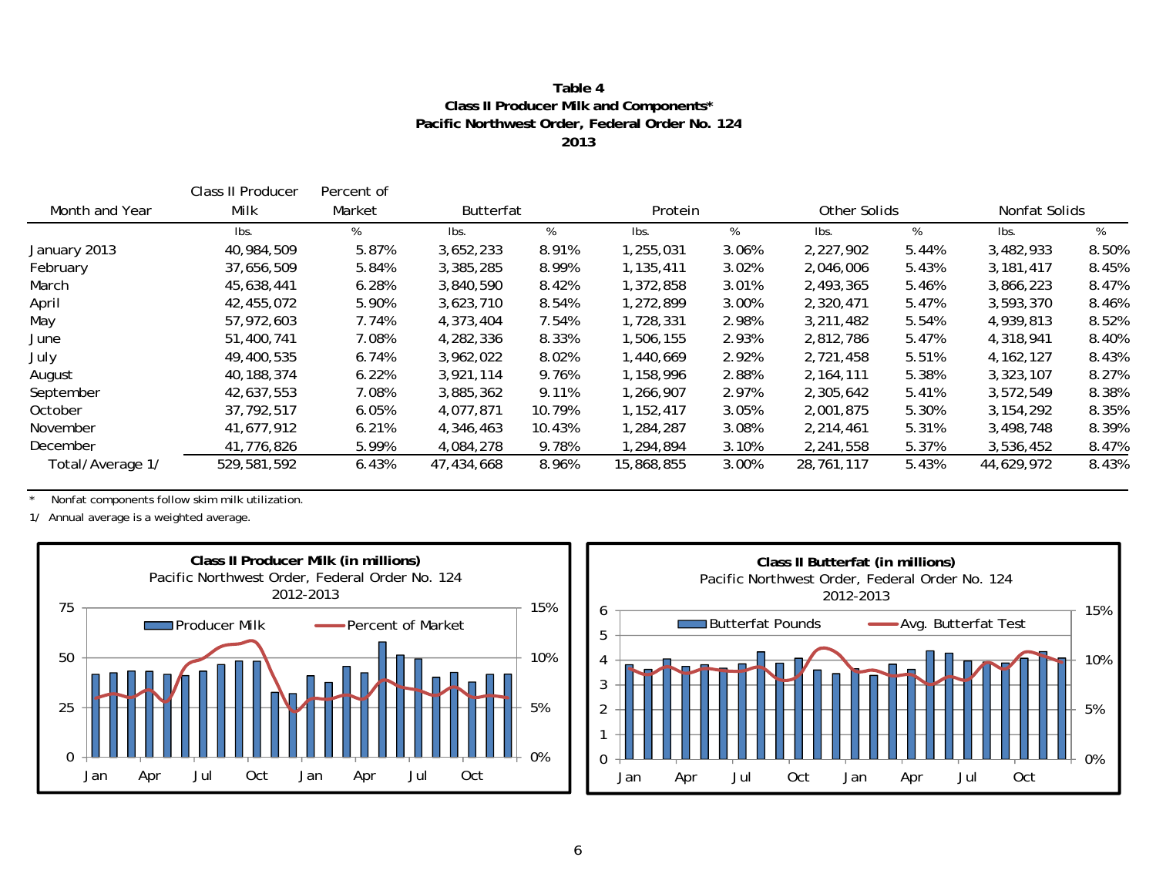#### **Table 4Class II Producer Milk and Components\* Pacific Northwest Order, Federal Order No. 124 2013**

|                  | Class II Producer | Percent of |                  |        |            |       |             |              |             |               |
|------------------|-------------------|------------|------------------|--------|------------|-------|-------------|--------------|-------------|---------------|
| Month and Year   | Milk              | Market     | <b>Butterfat</b> |        | Protein    |       |             | Other Solids |             | Nonfat Solids |
|                  | Ibs.              | %          | Ibs.             | %      | Ibs.       | %     | Ibs.        | %            | Ibs.        | %             |
| January 2013     | 40,984,509        | 5.87%      | 3,652,233        | 8.91%  | ,255,031   | 3.06% | 2,227,902   | 5.44%        | 3,482,933   | 8.50%         |
| February         | 37,656,509        | 5.84%      | 3,385,285        | 8.99%  | 1,135,411  | 3.02% | 2,046,006   | 5.43%        | 3,181,417   | 8.45%         |
| March            | 45,638,441        | 6.28%      | 3,840,590        | 8.42%  | 372,858    | 3.01% | 2,493,365   | 5.46%        | 3,866,223   | 8.47%         |
| April            | 42,455,072        | 5.90%      | 3,623,710        | 8.54%  | 1,272,899  | 3.00% | 2,320,471   | 5.47%        | 3,593,370   | 8.46%         |
| May              | 57,972,603        | 7.74%      | 4,373,404        | 7.54%  | .728,331 ا | 2.98% | 3,211,482   | 5.54%        | 4,939,813   | 8.52%         |
| June             | 51,400,741        | 7.08%      | 4,282,336        | 8.33%  | 506,155, ا | 2.93% | 2,812,786   | 5.47%        | 4,318,941   | 8.40%         |
| July             | 49,400,535        | 6.74%      | 3,962,022        | 8.02%  | ,440,669   | 2.92% | 2,721,458   | 5.51%        | 4, 162, 127 | 8.43%         |
| August           | 40,188,374        | 6.22%      | 3,921,114        | 9.76%  | 1,158,996  | 2.88% | 2, 164, 111 | 5.38%        | 3,323,107   | 8.27%         |
| September        | 42,637,553        | 7.08%      | 3,885,362        | 9.11%  | ,266,907   | 2.97% | 2,305,642   | 5.41%        | 3,572,549   | 8.38%         |
| October          | 37,792,517        | 6.05%      | 4,077,871        | 10.79% | 1,152,417  | 3.05% | 2,001,875   | 5.30%        | 3, 154, 292 | 8.35%         |
| November         | 41,677,912        | 6.21%      | 4,346,463        | 10.43% | 1,284,287  | 3.08% | 2,214,461   | 5.31%        | 3,498,748   | 8.39%         |
| December         | 41,776,826        | 5.99%      | 4,084,278        | 9.78%  | ,294,894   | 3.10% | 2,241,558   | 5.37%        | 3,536,452   | 8.47%         |
| Total/Average 1/ | 529,581,592       | 6.43%      | 47,434,668       | 8.96%  | 15,868,855 | 3.00% | 28,761,117  | 5.43%        | 44,629,972  | 8.43%         |

\* Nonfat components follow skim milk utilization.



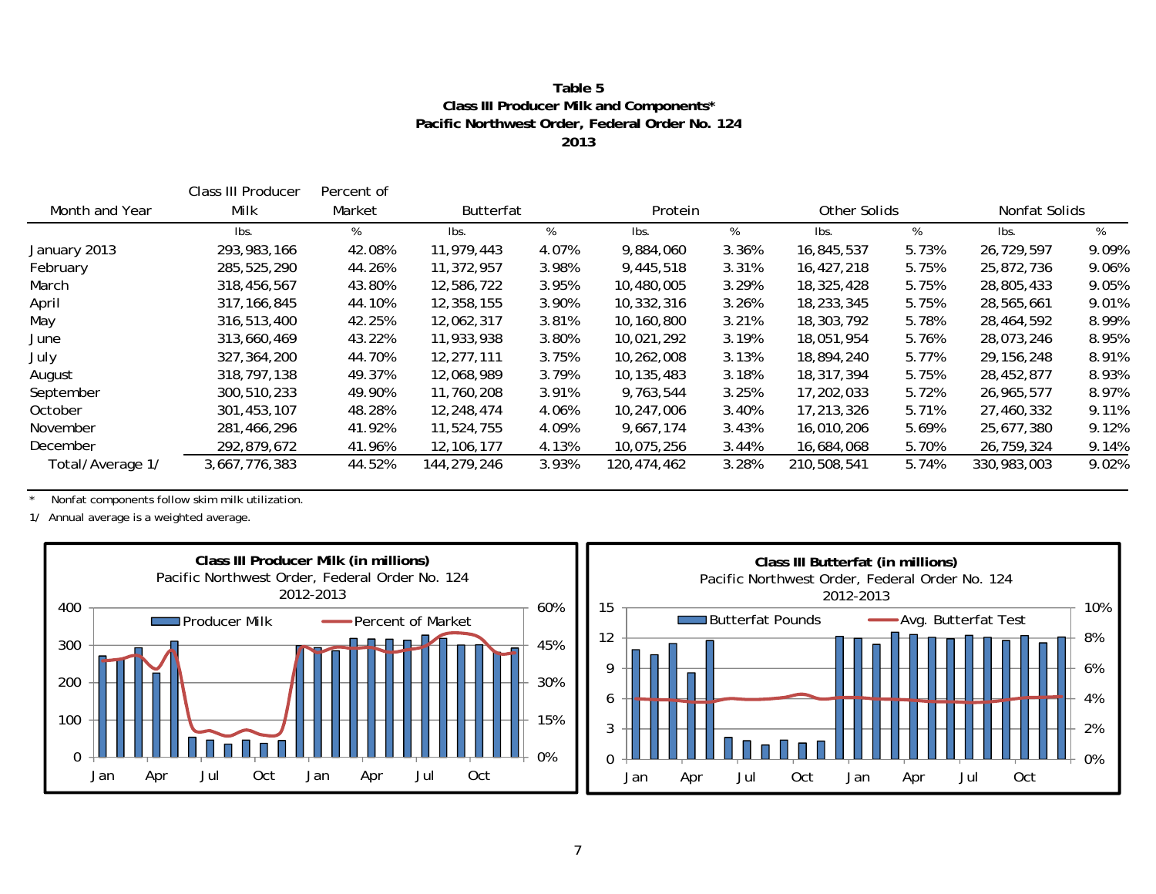#### **Table 5Class III Producer Milk and Components\* Pacific Northwest Order, Federal Order No. 124 2013**

|                  | Class III Producer | Percent of |              |       |             |         |             |              |               |       |
|------------------|--------------------|------------|--------------|-------|-------------|---------|-------------|--------------|---------------|-------|
| Month and Year   | Milk               | Market     | Butterfat    |       |             | Protein |             | Other Solids | Nonfat Solids |       |
|                  | Ibs.               | %          | lbs.         | %     | lbs.        | %       | lbs.        | %            | Ibs.          | %     |
| January 2013     | 293, 983, 166      | 42.08%     | 11,979,443   | 4.07% | 9,884,060   | 3.36%   | 16,845,537  | 5.73%        | 26,729,597    | 9.09% |
| February         | 285,525,290        | 44.26%     | 11,372,957   | 3.98% | 9,445,518   | 3.31%   | 16,427,218  | 5.75%        | 25,872,736    | 9.06% |
| March            | 318,456,567        | 43.80%     | 12,586,722   | 3.95% | 10,480,005  | 3.29%   | 18,325,428  | 5.75%        | 28,805,433    | 9.05% |
| April            | 317, 166, 845      | 44.10%     | 12,358,155   | 3.90% | 10,332,316  | 3.26%   | 18,233,345  | 5.75%        | 28,565,661    | 9.01% |
| May              | 316,513,400        | 42.25%     | 12,062,317   | 3.81% | 10,160,800  | 3.21%   | 18,303,792  | 5.78%        | 28,464,592    | 8.99% |
| June             | 313,660,469        | 43.22%     | 11,933,938   | 3.80% | 10,021,292  | 3.19%   | 18,051,954  | 5.76%        | 28,073,246    | 8.95% |
| July             | 327, 364, 200      | 44.70%     | 12, 277, 111 | 3.75% | 10,262,008  | 3.13%   | 18,894,240  | 5.77%        | 29, 156, 248  | 8.91% |
| August           | 318,797,138        | 49.37%     | 12,068,989   | 3.79% | 10,135,483  | 3.18%   | 18,317,394  | 5.75%        | 28,452,877    | 8.93% |
| September        | 300,510,233        | 49.90%     | 11,760,208   | 3.91% | 9,763,544   | 3.25%   | 17,202,033  | 5.72%        | 26,965,577    | 8.97% |
| October          | 301,453,107        | 48.28%     | 12,248,474   | 4.06% | 10,247,006  | 3.40%   | 17,213,326  | 5.71%        | 27,460,332    | 9.11% |
| November         | 281,466,296        | 41.92%     | 11,524,755   | 4.09% | 9,667,174   | 3.43%   | 16,010,206  | 5.69%        | 25,677,380    | 9.12% |
| December         | 292,879,672        | 41.96%     | 12, 106, 177 | 4.13% | 10,075,256  | 3.44%   | 16,684,068  | 5.70%        | 26,759,324    | 9.14% |
| Total/Average 1/ | 3,667,776,383      | 44.52%     | 144,279,246  | 3.93% | 120,474,462 | 3.28%   | 210,508,541 | 5.74%        | 330,983,003   | 9.02% |

\* Nonfat components follow skim milk utilization.

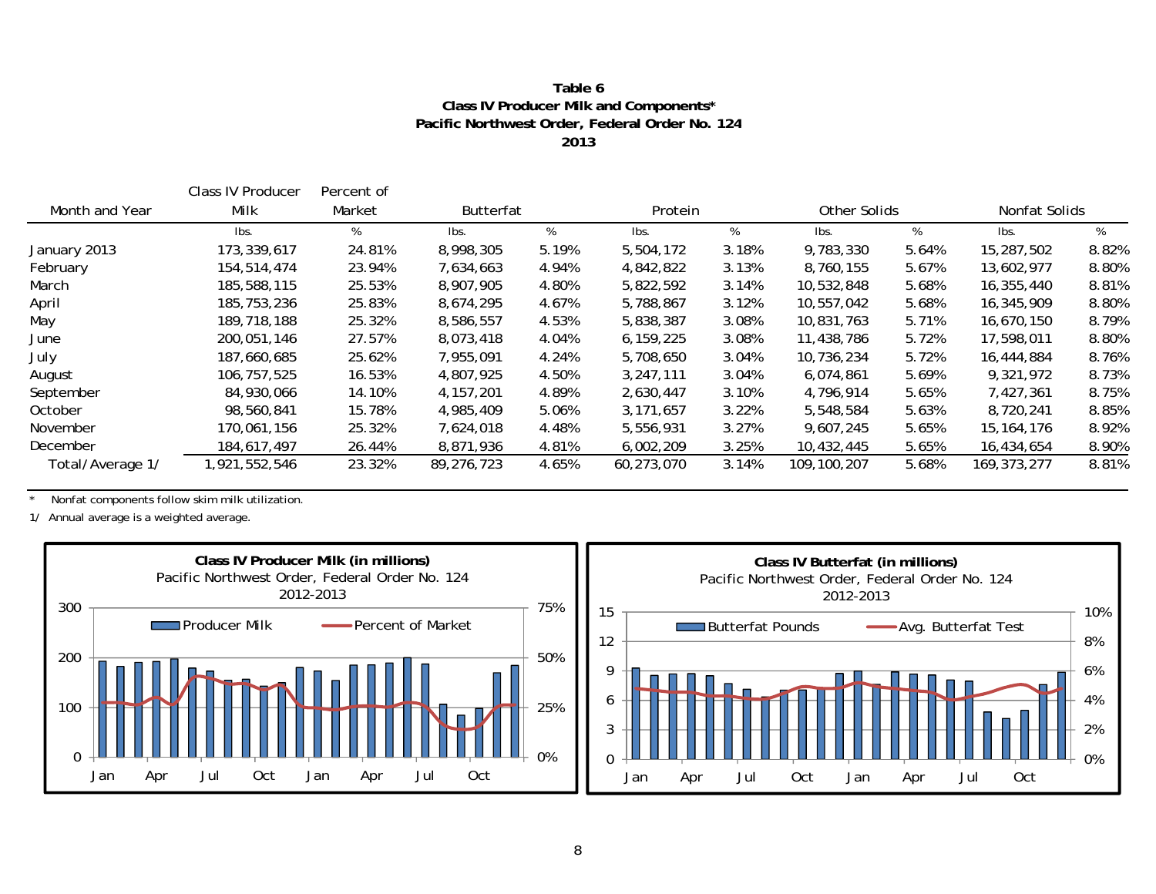#### **Table 6Class IV Producer Milk and Components\* Pacific Northwest Order, Federal Order No. 124 2013**

|                  | Class IV Producer | Percent of |                  |       |            |       |             |              |               |       |
|------------------|-------------------|------------|------------------|-------|------------|-------|-------------|--------------|---------------|-------|
| Month and Year   | Milk              | Market     | <b>Butterfat</b> |       | Protein    |       |             | Other Solids | Nonfat Solids |       |
|                  | lbs.              | %          | lbs.             | %     | lbs.       | %     | lbs.        | %            | Ibs.          | %     |
| January 2013     | 173,339,617       | 24.81%     | 8,998,305        | 5.19% | 5,504,172  | 3.18% | 9,783,330   | 5.64%        | 15,287,502    | 8.82% |
| February         | 154,514,474       | 23.94%     | 7,634,663        | 4.94% | 4,842,822  | 3.13% | 8,760,155   | 5.67%        | 13,602,977    | 8.80% |
| March            | 185,588,115       | 25.53%     | 8,907,905        | 4.80% | 5,822,592  | 3.14% | 10,532,848  | 5.68%        | 16,355,440    | 8.81% |
| April            | 185,753,236       | 25.83%     | 8,674,295        | 4.67% | 5,788,867  | 3.12% | 10,557,042  | 5.68%        | 16,345,909    | 8.80% |
| May              | 189,718,188       | 25.32%     | 8,586,557        | 4.53% | 5,838,387  | 3.08% | 10,831,763  | 5.71%        | 16,670,150    | 8.79% |
| June             | 200,051,146       | 27.57%     | 8,073,418        | 4.04% | 6,159,225  | 3.08% | 11,438,786  | 5.72%        | 17,598,011    | 8.80% |
| July             | 187,660,685       | 25.62%     | 7,955,091        | 4.24% | 5,708,650  | 3.04% | 10,736,234  | 5.72%        | 16,444,884    | 8.76% |
| August           | 106,757,525       | 16.53%     | 4,807,925        | 4.50% | 3,247,111  | 3.04% | 6,074,861   | 5.69%        | 9,321,972     | 8.73% |
| September        | 84,930,066        | 14.10%     | 4, 157, 201      | 4.89% | 2,630,447  | 3.10% | 4,796,914   | 5.65%        | 7,427,361     | 8.75% |
| October          | 98,560,841        | 15.78%     | 4,985,409        | 5.06% | 3,171,657  | 3.22% | 5,548,584   | 5.63%        | 8,720,241     | 8.85% |
| November         | 170,061,156       | 25.32%     | 7,624,018        | 4.48% | 5,556,931  | 3.27% | 9,607,245   | 5.65%        | 15, 164, 176  | 8.92% |
| December         | 184,617,497       | 26.44%     | 8,871,936        | 4.81% | 6,002,209  | 3.25% | 10,432,445  | 5.65%        | 16,434,654    | 8.90% |
| Total/Average 1/ | ,921,552,546      | 23.32%     | 89,276,723       | 4.65% | 60,273,070 | 3.14% | 109,100,207 | 5.68%        | 169, 373, 277 | 8.81% |

\* Nonfat components follow skim milk utilization.

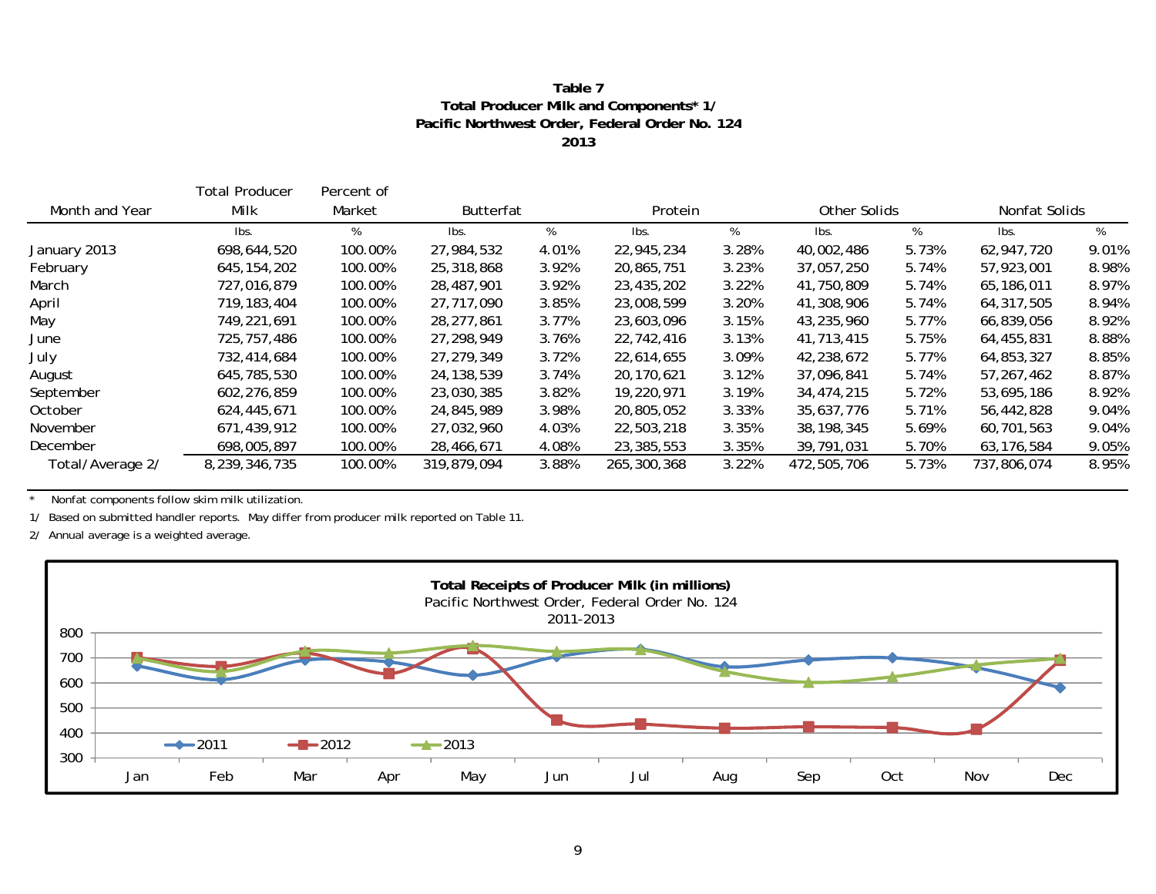#### **Table 7 Total Producer Milk and Components\* 1 / Pacific Northwest Order, Federal Order No. 124 2013**

|                  | Total Producer | Percent of |                  |       |             |       |              |       |               |       |
|------------------|----------------|------------|------------------|-------|-------------|-------|--------------|-------|---------------|-------|
| Month and Year   | Milk           | Market     | <b>Butterfat</b> |       | Protein     |       | Other Solids |       | Nonfat Solids |       |
|                  | Ibs.           | %          | lbs.             | %     | lbs.        | %     | Ibs.         | %     | Ibs.          | %     |
| January 2013     | 698,644,520    | 100.00%    | 27,984,532       | 4.01% | 22,945,234  | 3.28% | 40,002,486   | 5.73% | 62,947,720    | 9.01% |
| February         | 645, 154, 202  | 100.00%    | 25,318,868       | 3.92% | 20,865,751  | 3.23% | 37,057,250   | 5.74% | 57,923,001    | 8.98% |
| March            | 727,016,879    | 100.00%    | 28,487,901       | 3.92% | 23,435,202  | 3.22% | 41,750,809   | 5.74% | 65,186,011    | 8.97% |
| April            | 719, 183, 404  | 100.00%    | 27,717,090       | 3.85% | 23,008,599  | 3.20% | 41,308,906   | 5.74% | 64,317,505    | 8.94% |
| May              | 749,221,691    | 100.00%    | 28, 277, 861     | 3.77% | 23,603,096  | 3.15% | 43,235,960   | 5.77% | 66,839,056    | 8.92% |
| June             | 725,757,486    | 100.00%    | 27,298,949       | 3.76% | 22,742,416  | 3.13% | 41,713,415   | 5.75% | 64,455,831    | 8.88% |
| July             | 732,414,684    | 100.00%    | 27, 279, 349     | 3.72% | 22,614,655  | 3.09% | 42,238,672   | 5.77% | 64,853,327    | 8.85% |
| August           | 645,785,530    | 100.00%    | 24,138,539       | 3.74% | 20,170,621  | 3.12% | 37,096,841   | 5.74% | 57,267,462    | 8.87% |
| September        | 602,276,859    | 100.00%    | 23,030,385       | 3.82% | 19,220,971  | 3.19% | 34,474,215   | 5.72% | 53,695,186    | 8.92% |
| October          | 624,445,671    | 100.00%    | 24,845,989       | 3.98% | 20,805,052  | 3.33% | 35,637,776   | 5.71% | 56,442,828    | 9.04% |
| November         | 671,439,912    | 100.00%    | 27,032,960       | 4.03% | 22,503,218  | 3.35% | 38, 198, 345 | 5.69% | 60,701,563    | 9.04% |
| December         | 698,005,897    | 100.00%    | 28,466,671       | 4.08% | 23,385,553  | 3.35% | 39,791,031   | 5.70% | 63,176,584    | 9.05% |
| Total/Average 2/ | 8,239,346,735  | 100.00%    | 319,879,094      | 3.88% | 265,300,368 | 3.22% | 472,505,706  | 5.73% | 737,806,074   | 8.95% |

\* Nonfat components follow skim milk utilization.

1/ Based on submitted handler reports. May differ from producer milk reported on Table 11.

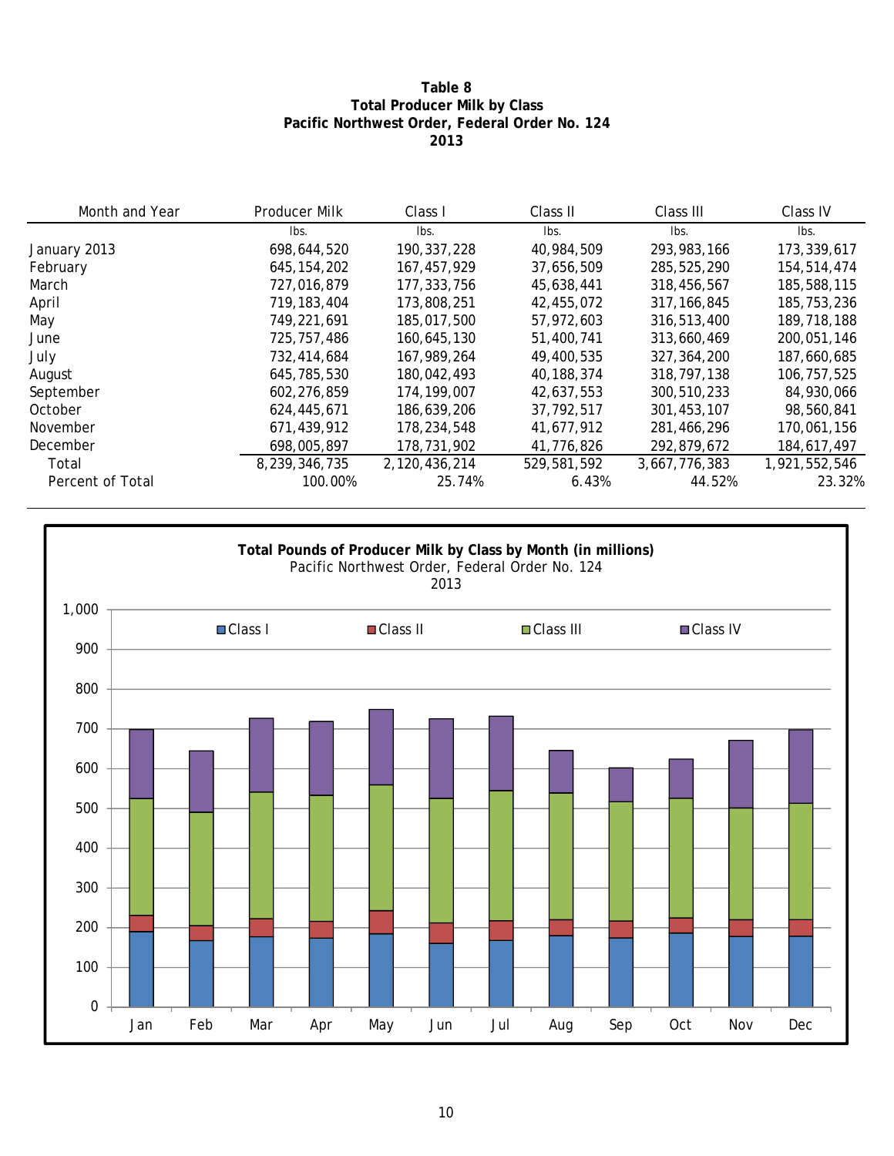#### **Table 8 Total Producer Milk by Class Pacific Northwest Order, Federal Order No. 124 2013**

| Month and Year   | Producer Milk | Class I       | Class II    | Class III     | Class IV      |
|------------------|---------------|---------------|-------------|---------------|---------------|
|                  | lbs.          | Ibs.          | Ibs.        | lbs.          | Ibs.          |
| January 2013     | 698,644,520   | 190, 337, 228 | 40,984,509  | 293, 983, 166 | 173,339,617   |
| February         | 645, 154, 202 | 167,457,929   | 37,656,509  | 285,525,290   | 154,514,474   |
| March            | 727,016,879   | 177, 333, 756 | 45,638,441  | 318,456,567   | 185,588,115   |
| April            | 719, 183, 404 | 173,808,251   | 42,455,072  | 317.166.845   | 185,753,236   |
| May              | 749,221,691   | 185,017,500   | 57,972,603  | 316,513,400   | 189,718,188   |
| June             | 725,757,486   | 160,645,130   | 51,400,741  | 313,660,469   | 200.051.146   |
| July             | 732,414,684   | 167,989,264   | 49,400,535  | 327, 364, 200 | 187,660,685   |
| August           | 645,785,530   | 180,042,493   | 40,188,374  | 318,797,138   | 106,757,525   |
| September        | 602,276,859   | 174, 199, 007 | 42,637,553  | 300,510,233   | 84,930,066    |
| October          | 624,445,671   | 186,639,206   | 37,792,517  | 301,453,107   | 98,560,841    |
| November         | 671,439,912   | 178,234,548   | 41,677,912  | 281,466,296   | 170,061,156   |
| December         | 698,005,897   | 178,731,902   | 41,776,826  | 292,879,672   | 184,617,497   |
| Total            | 8,239,346,735 | 2,120,436,214 | 529,581,592 | 3,667,776,383 | 1,921,552,546 |
| Percent of Total | 100.00%       | 25.74%        | 6.43%       | 44.52%        | 23.32%        |

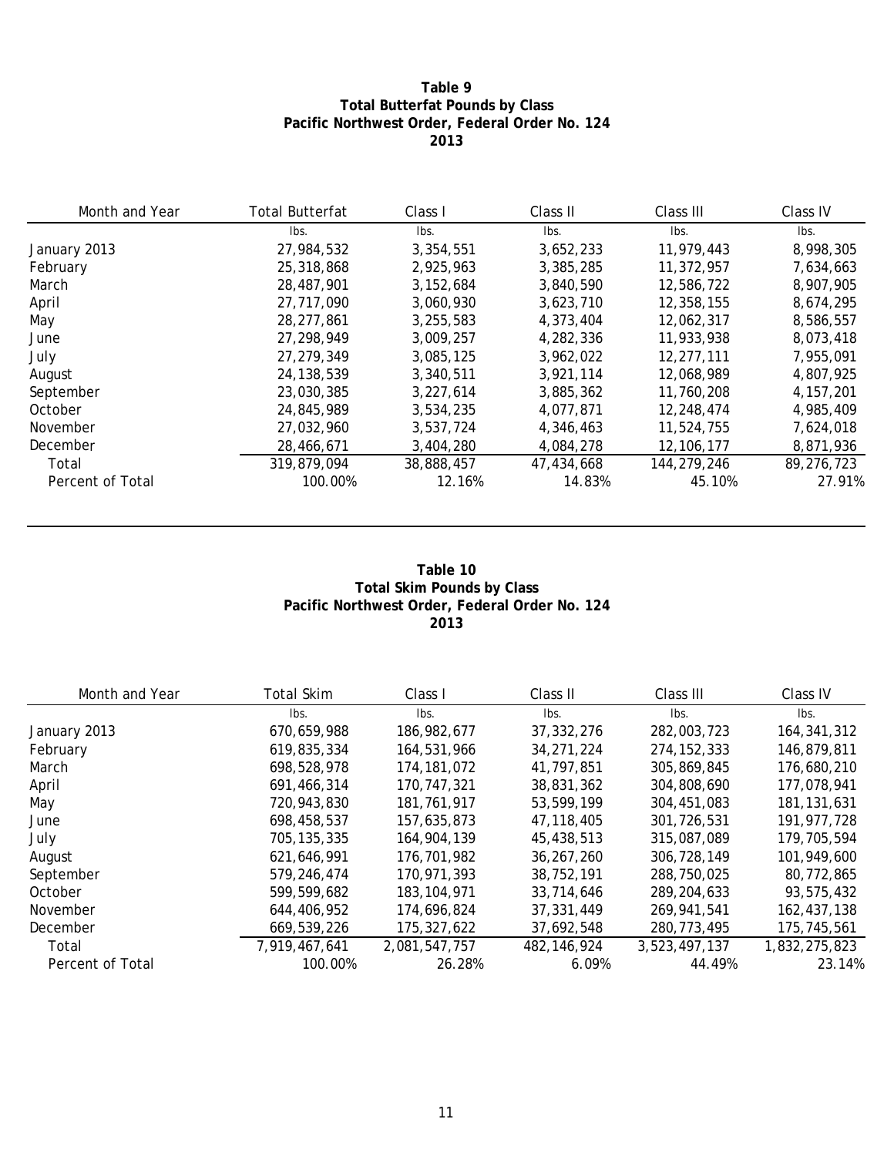### **Table 9 Total Butterfat Pounds by Class Pacific Northwest Order, Federal Order No. 124 2013**

| Month and Year   | <b>Total Butterfat</b> | Class I     | Class II   | Class III    | Class IV    |
|------------------|------------------------|-------------|------------|--------------|-------------|
|                  | Ibs.                   | Ibs.        | Ibs.       | lbs.         | Ibs.        |
| January 2013     | 27,984,532             | 3,354,551   | 3,652,233  | 11,979,443   | 8,998,305   |
| February         | 25,318,868             | 2.925.963   | 3,385,285  | 11,372,957   | 7,634,663   |
| March            | 28,487,901             | 3, 152, 684 | 3,840,590  | 12,586,722   | 8,907,905   |
| April            | 27,717,090             | 3,060,930   | 3,623,710  | 12,358,155   | 8,674,295   |
| May              | 28, 277, 861           | 3,255,583   | 4,373,404  | 12,062,317   | 8,586,557   |
| June             | 27.298.949             | 3,009,257   | 4.282.336  | 11,933,938   | 8.073.418   |
| July             | 27, 279, 349           | 3,085,125   | 3,962,022  | 12,277,111   | 7,955,091   |
| August           | 24, 138, 539           | 3,340,511   | 3.921.114  | 12.068.989   | 4,807,925   |
| September        | 23,030,385             | 3,227,614   | 3,885,362  | 11,760,208   | 4, 157, 201 |
| October          | 24,845,989             | 3,534,235   | 4,077,871  | 12,248,474   | 4,985,409   |
| November         | 27,032,960             | 3,537,724   | 4,346,463  | 11,524,755   | 7,624,018   |
| December         | 28,466,671             | 3,404,280   | 4,084,278  | 12, 106, 177 | 8,871,936   |
| Total            | 319,879,094            | 38,888,457  | 47,434,668 | 144,279,246  | 89,276,723  |
| Percent of Total | 100.00%                | 12.16%      | 14.83%     | 45.10%       | 27.91%      |

#### **Table 10 Total Skim Pounds by Class Pacific Northwest Order, Federal Order No. 124 2013**

| Month and Year   | <b>Total Skim</b> | Class I       | Class II      | Class III     | Class IV      |
|------------------|-------------------|---------------|---------------|---------------|---------------|
|                  | lbs.              | lbs.          | Ibs.          | lbs.          | lbs.          |
| January 2013     | 670,659,988       | 186,982,677   | 37, 332, 276  | 282,003,723   | 164, 341, 312 |
| February         | 619.835.334       | 164,531,966   | 34, 271, 224  | 274, 152, 333 | 146.879.811   |
| March            | 698,528,978       | 174, 181, 072 | 41,797,851    | 305,869,845   | 176,680,210   |
| April            | 691,466,314       | 170,747,321   | 38,831,362    | 304,808,690   | 177,078,941   |
| May              | 720,943,830       | 181,761,917   | 53,599,199    | 304,451,083   | 181, 131, 631 |
| June             | 698,458,537       | 157,635,873   | 47, 118, 405  | 301,726,531   | 191, 977, 728 |
| July             | 705, 135, 335     | 164,904,139   | 45,438,513    | 315,087,089   | 179,705,594   |
| August           | 621,646,991       | 176,701,982   | 36.267.260    | 306.728.149   | 101,949,600   |
| September        | 579,246,474       | 170,971,393   | 38,752,191    | 288,750,025   | 80,772,865    |
| October          | 599,599,682       | 183, 104, 971 | 33,714,646    | 289, 204, 633 | 93,575,432    |
| November         | 644,406,952       | 174,696,824   | 37,331,449    | 269,941.541   | 162,437,138   |
| December         | 669,539,226       | 175, 327, 622 | 37,692,548    | 280,773,495   | 175,745,561   |
| Total            | 7,919,467,641     | 2,081,547,757 | 482, 146, 924 | 3,523,497,137 | 1,832,275,823 |
| Percent of Total | 100.00%           | 26.28%        | 6.09%         | 44.49%        | 23.14%        |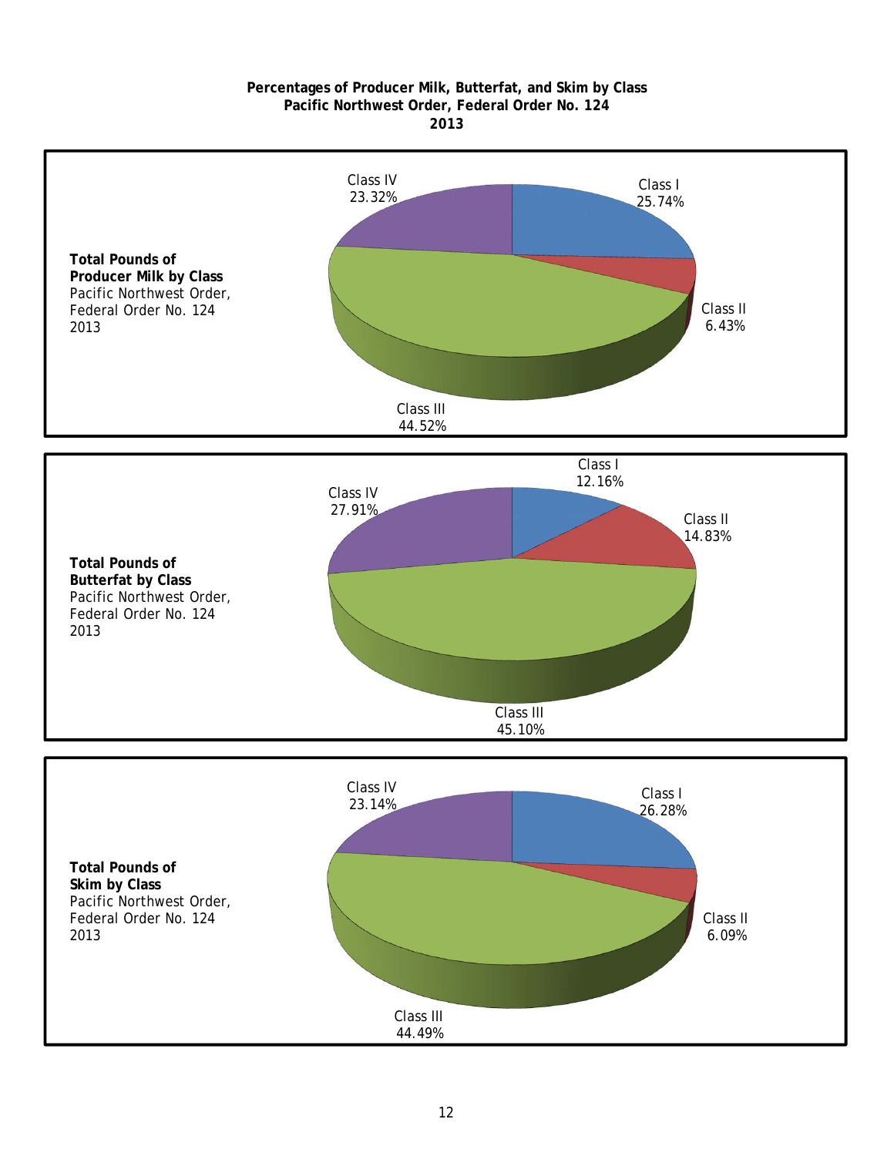#### **2013 Pacific Northwest Order, Federal Order No. 124 Percentages of Producer Milk, Butterfat, and Skim by Class**

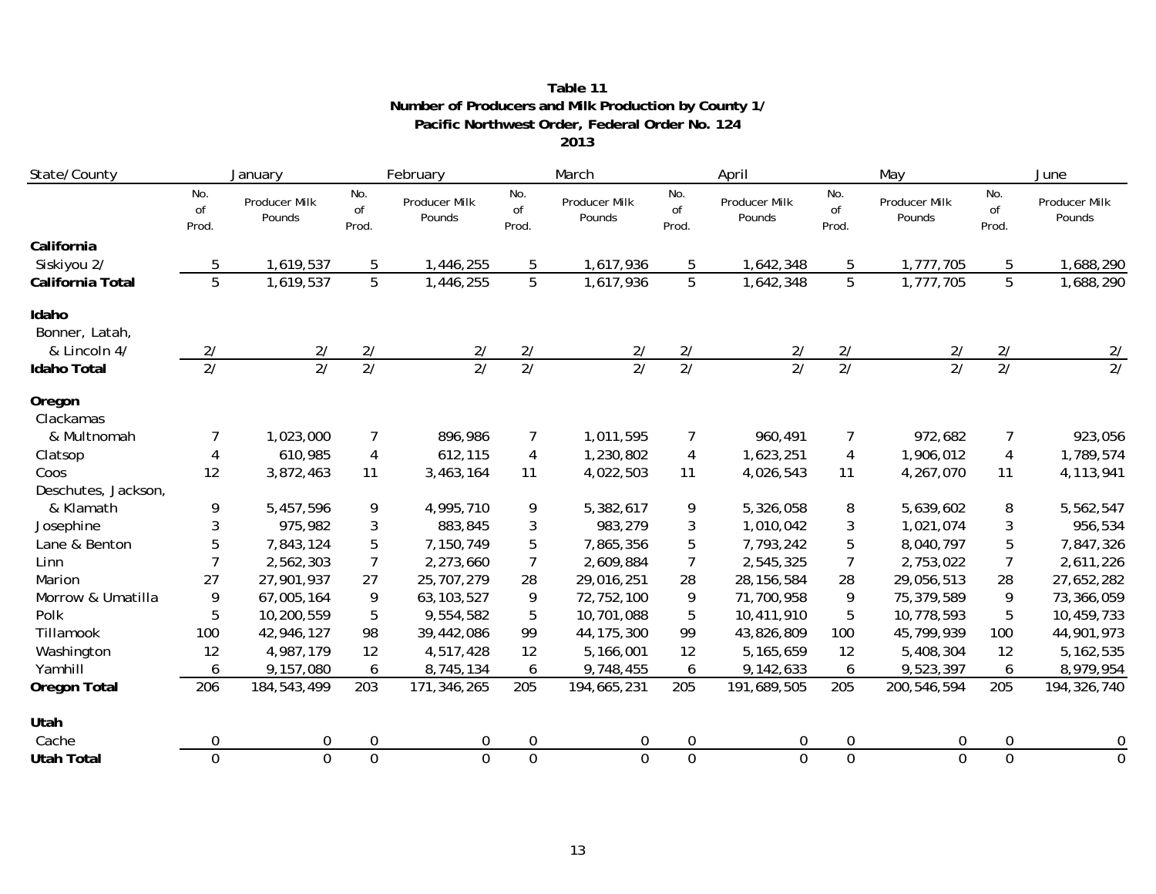#### **2013 Pacific Northwest Order, Federal Order No. 124 Number of Producers and Milk Production by County 1/ Table 11**

| State/County        | February<br>January |                                |                    | March                   |                    | April                   |                               | May                     | June               |                         |                    |                         |
|---------------------|---------------------|--------------------------------|--------------------|-------------------------|--------------------|-------------------------|-------------------------------|-------------------------|--------------------|-------------------------|--------------------|-------------------------|
|                     | No.<br>of<br>Prod.  | <b>Producer Milk</b><br>Pounds | No.<br>of<br>Prod. | Producer Milk<br>Pounds | No.<br>of<br>Prod. | Producer Milk<br>Pounds | No.<br><sub>of</sub><br>Prod. | Producer Milk<br>Pounds | No.<br>of<br>Prod. | Producer Milk<br>Pounds | No.<br>of<br>Prod. | Producer Milk<br>Pounds |
| California          |                     |                                |                    |                         |                    |                         |                               |                         |                    |                         |                    |                         |
| Siskiyou 2/         | 5                   | 1,619,537                      | 5                  | 1,446,255               | 5                  | 1,617,936               | 5                             | 1,642,348               | 5                  | 1,777,705               | 5                  | 1,688,290               |
| California Total    | $\overline{5}$      | 1,619,537                      | $\overline{5}$     | 1,446,255               | $\overline{5}$     | 1,617,936               | $\overline{5}$                | 1,642,348               | $\overline{5}$     | 1,777,705               | $\overline{5}$     | 1,688,290               |
| Idaho               |                     |                                |                    |                         |                    |                         |                               |                         |                    |                         |                    |                         |
| Bonner, Latah,      |                     |                                |                    |                         |                    |                         |                               |                         |                    |                         |                    |                         |
| & Lincoln 4/        | 2/                  | 2/                             | 2/                 | 2/                      | 2/                 | 2/                      | 2/                            | 2/                      | 2/                 | 2/                      | 2/                 | 2/                      |
| <b>Idaho Total</b>  | $\overline{27}$     | $\overline{21}$                | $\overline{27}$    | $\overline{21}$         | $\overline{27}$    | $\overline{21}$         | $\overline{27}$               | $\overline{27}$         | $\overline{27}$    | $\overline{21}$         | $\overline{2/}$    | $\overline{2/}$         |
| Oregon              |                     |                                |                    |                         |                    |                         |                               |                         |                    |                         |                    |                         |
| Clackamas           |                     |                                |                    |                         |                    |                         |                               |                         |                    |                         |                    |                         |
| & Multnomah         | 7                   | 1,023,000                      | $\overline{7}$     | 896,986                 | 7                  | 1,011,595               |                               | 960,491                 | 7                  | 972,682                 | 7                  | 923,056                 |
| Clatsop             | 4                   | 610,985                        | $\overline{4}$     | 612,115                 | $\overline{4}$     | 1,230,802               | 4                             | 1,623,251               | $\overline{4}$     | 1,906,012               | $\overline{4}$     | 1,789,574               |
| Coos                | 12                  | 3,872,463                      | 11                 | 3,463,164               | 11                 | 4,022,503               | 11                            | 4,026,543               | 11                 | 4,267,070               | 11                 | 4,113,941               |
| Deschutes, Jackson, |                     |                                |                    |                         |                    |                         |                               |                         |                    |                         |                    |                         |
| & Klamath           | 9                   | 5,457,596                      | 9                  | 4,995,710               | 9                  | 5,382,617               | 9                             | 5,326,058               | 8                  | 5,639,602               | 8                  | 5,562,547               |
| Josephine           | 3                   | 975,982                        | 3                  | 883,845                 | 3                  | 983,279                 | 3                             | 1,010,042               | $\sqrt{3}$         | 1,021,074               | 3                  | 956,534                 |
| Lane & Benton       | 5                   | 7,843,124                      | 5                  | 7,150,749               | 5                  | 7,865,356               | 5                             | 7,793,242               | 5                  | 8,040,797               | 5                  | 7,847,326               |
| Linn                | 7                   | 2,562,303                      | $\overline{7}$     | 2,273,660               | 7                  | 2,609,884               | $\overline{7}$                | 2,545,325               | 7                  | 2,753,022               | $\overline{7}$     | 2,611,226               |
| Marion              | 27                  | 27,901,937                     | 27                 | 25,707,279              | 28                 | 29,016,251              | 28                            | 28, 156, 584            | 28                 | 29,056,513              | 28                 | 27,652,282              |
| Morrow & Umatilla   | 9                   | 67,005,164                     | 9                  | 63, 103, 527            | 9                  | 72,752,100              | 9                             | 71,700,958              | 9                  | 75,379,589              | 9                  | 73,366,059              |
| Polk                | 5                   | 10,200,559                     | 5                  | 9,554,582               | 5                  | 10,701,088              | 5                             | 10,411,910              | 5                  | 10,778,593              | 5                  | 10,459,733              |
| Tillamook           | 100                 | 42,946,127                     | 98                 | 39,442,086              | 99                 | 44, 175, 300            | 99                            | 43,826,809              | 100                | 45,799,939              | 100                | 44,901,973              |
| Washington          | 12                  | 4,987,179                      | 12                 | 4,517,428               | 12                 | 5,166,001               | 12                            | 5,165,659               | 12                 | 5,408,304               | 12                 | 5, 162, 535             |
| Yamhill             | 6                   | 9,157,080                      | 6                  | 8,745,134               | 6                  | 9,748,455               | 6                             | 9,142,633               | 6                  | 9,523,397               | 6                  | 8,979,954               |
| <b>Oregon Total</b> | 206                 | 184,543,499                    | 203                | 171,346,265             | 205                | 194,665,231             | 205                           | 191,689,505             | 205                | 200,546,594             | 205                | 194,326,740             |
| Utah                |                     |                                |                    |                         |                    |                         |                               |                         |                    |                         |                    |                         |
| Cache               | 0                   | 0                              | 0                  | 0                       | 0                  | $\mathbf 0$             | 0                             | 0                       | $\mathbf 0$        | 0                       | 0                  | 0                       |
| <b>Utah Total</b>   | $\overline{0}$      | $\overline{0}$                 | $\overline{0}$     | $\overline{0}$          | $\overline{0}$     | $\Omega$                | $\overline{0}$                | $\overline{0}$          | $\overline{0}$     | $\Omega$                | $\overline{0}$     | $\overline{0}$          |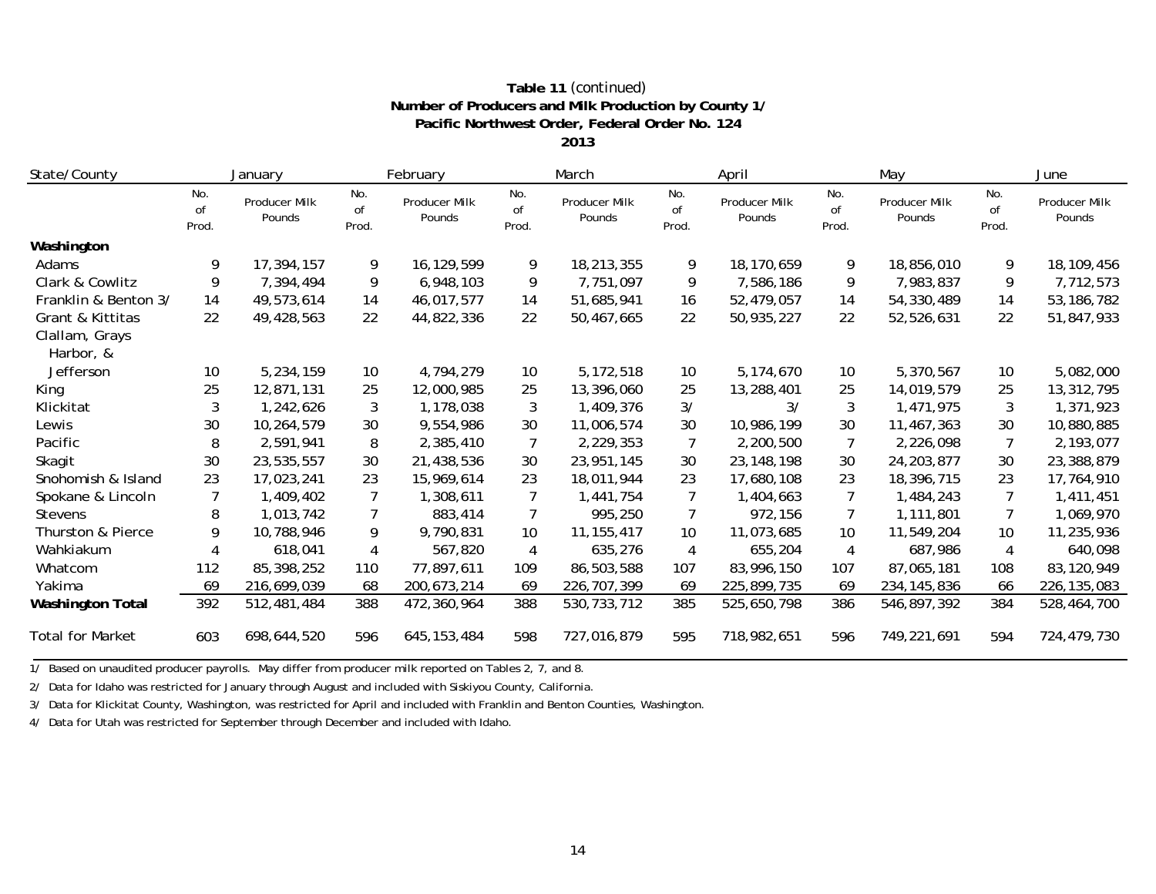## **Pacific Northwest Order, Federal Order No. 124 Number of Producers and Milk Production by County 1/ Table 11** *(continued)*

**2013**

| State/County                |                    | January                 |                    | February                |                    | March                   |                    | April                   |                    | May                     |                    | June                    |
|-----------------------------|--------------------|-------------------------|--------------------|-------------------------|--------------------|-------------------------|--------------------|-------------------------|--------------------|-------------------------|--------------------|-------------------------|
|                             | No.<br>of<br>Prod. | Producer Milk<br>Pounds | No.<br>of<br>Prod. | Producer Milk<br>Pounds | No.<br>of<br>Prod. | Producer Milk<br>Pounds | No.<br>of<br>Prod. | Producer Milk<br>Pounds | No.<br>of<br>Prod. | Producer Milk<br>Pounds | No.<br>of<br>Prod. | Producer Milk<br>Pounds |
| Washington                  |                    |                         |                    |                         |                    |                         |                    |                         |                    |                         |                    |                         |
| Adams                       | 9                  | 17,394,157              | 9                  | 16,129,599              | 9                  | 18,213,355              | 9                  | 18,170,659              | 9                  | 18,856,010              | 9                  | 18,109,456              |
| Clark & Cowlitz             | 9                  | 7,394,494               | 9                  | 6,948,103               | 9                  | 7,751,097               | 9                  | 7,586,186               | 9                  | 7,983,837               | 9                  | 7,712,573               |
| Franklin & Benton 3/        | 14                 | 49,573,614              | 14                 | 46,017,577              | 14                 | 51,685,941              | 16                 | 52,479,057              | 14                 | 54,330,489              | 14                 | 53, 186, 782            |
| Grant & Kittitas            | 22                 | 49,428,563              | 22                 | 44,822,336              | 22                 | 50,467,665              | 22                 | 50,935,227              | 22                 | 52,526,631              | 22                 | 51,847,933              |
| Clallam, Grays<br>Harbor, & |                    |                         |                    |                         |                    |                         |                    |                         |                    |                         |                    |                         |
| Jefferson                   | 10                 | 5,234,159               | 10                 | 4,794,279               | 10                 | 5,172,518               | 10                 | 5,174,670               | 10                 | 5,370,567               | 10                 | 5,082,000               |
| King                        | 25                 | 12,871,131              | 25                 | 12,000,985              | 25                 | 13,396,060              | 25                 | 13,288,401              | 25                 | 14,019,579              | 25                 | 13,312,795              |
| Klickitat                   | 3                  | 1,242,626               | 3                  | 1,178,038               | $\mathbf{3}$       | 1,409,376               | 3/                 | 3/                      | 3                  | 1,471,975               | 3                  | 1,371,923               |
| Lewis                       | 30                 | 10,264,579              | 30                 | 9,554,986               | 30                 | 11,006,574              | 30                 | 10,986,199              | 30                 | 11,467,363              | 30                 | 10,880,885              |
| Pacific                     | 8                  | 2,591,941               | 8                  | 2,385,410               | $\overline{7}$     | 2,229,353               | $\overline{7}$     | 2,200,500               | 7                  | 2,226,098               | 7                  | 2,193,077               |
| Skagit                      | 30                 | 23,535,557              | 30                 | 21,438,536              | 30                 | 23,951,145              | 30                 | 23, 148, 198            | 30                 | 24, 203, 877            | 30                 | 23,388,879              |
| Snohomish & Island          | 23                 | 17,023,241              | 23                 | 15,969,614              | 23                 | 18,011,944              | 23                 | 17,680,108              | 23                 | 18,396,715              | 23                 | 17,764,910              |
| Spokane & Lincoln           |                    | 1,409,402               | $\overline{7}$     | 1,308,611               | $\overline{7}$     | 1,441,754               |                    | 1,404,663               | $\overline{7}$     | 1,484,243               |                    | 1,411,451               |
| <b>Stevens</b>              | 8                  | 1,013,742               | 7                  | 883,414                 | 7                  | 995,250                 | $\overline{7}$     | 972,156                 | $\overline{7}$     | 1,111,801               |                    | 1,069,970               |
| Thurston & Pierce           | 9                  | 10,788,946              | 9                  | 9,790,831               | 10 <sup>°</sup>    | 11, 155, 417            | 10                 | 11,073,685              | 10                 | 11,549,204              | 10                 | 11,235,936              |
| Wahkiakum                   | 4                  | 618,041                 | 4                  | 567,820                 | 4                  | 635,276                 | 4                  | 655,204                 | $\overline{4}$     | 687,986                 | 4                  | 640,098                 |
| Whatcom                     | 112                | 85,398,252              | 110                | 77,897,611              | 109                | 86,503,588              | 107                | 83,996,150              | 107                | 87,065,181              | 108                | 83,120,949              |
| Yakima                      | 69                 | 216,699,039             | 68                 | 200,673,214             | 69                 | 226, 707, 399           | 69                 | 225,899,735             | 69                 | 234, 145, 836           | 66                 | 226, 135, 083           |
| <b>Washington Total</b>     | 392                | 512,481,484             | 388                | 472,360,964             | 388                | 530, 733, 712           | 385                | 525,650,798             | 386                | 546,897,392             | 384                | 528,464,700             |
| <b>Total for Market</b>     | 603                | 698,644,520             | 596                | 645, 153, 484           | 598                | 727,016,879             | 595                | 718,982,651             | 596                | 749,221,691             | 594                | 724,479,730             |

1/ Based on unaudited producer payrolls. May differ from producer milk reported on Tables 2, 7, and 8.

2/ Data for Idaho was restricted for January through August and included with Siskiyou County, California.

3/ Data for Klickitat County, Washington, was restricted for April and included with Franklin and Benton Counties, Washington.

4/ Data for Utah was restricted for September through December and included with Idaho.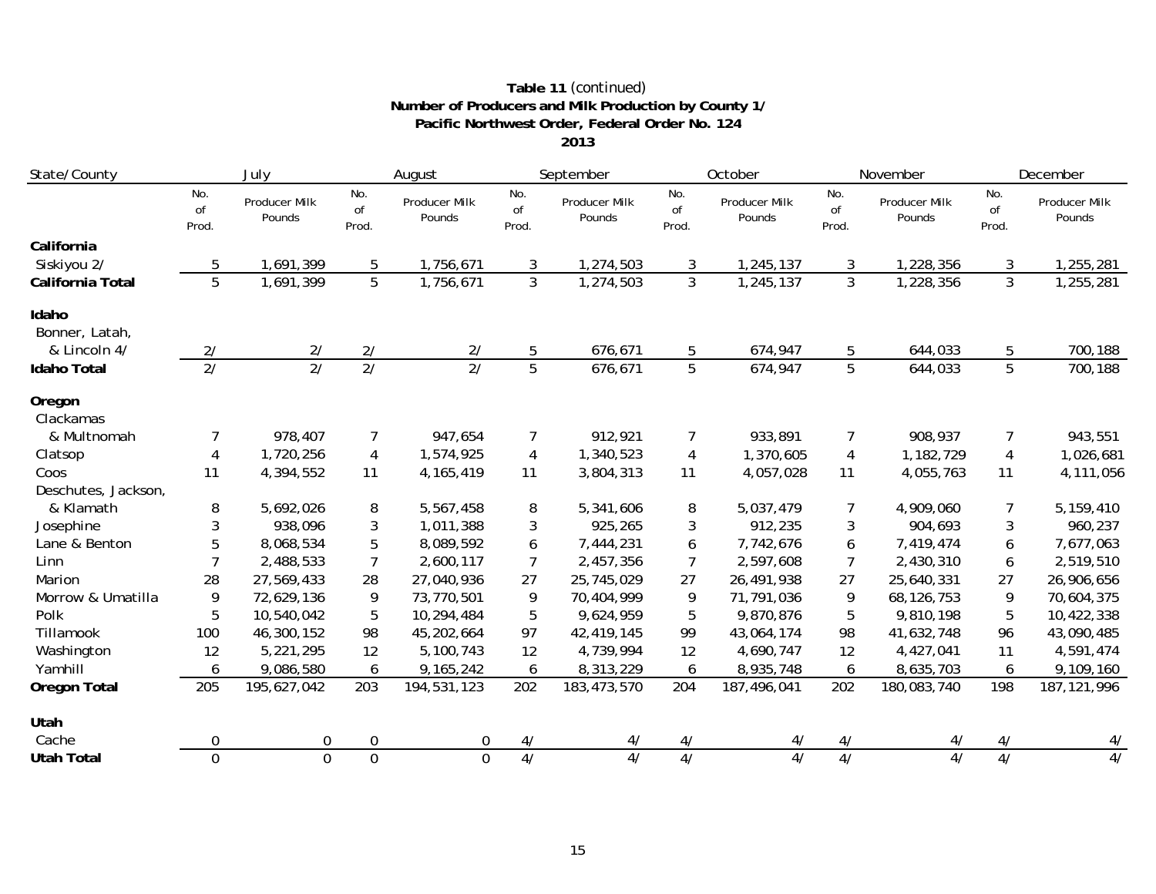## **Pacific Northwest Order, Federal Order No. 124 Number of Producers and Milk Production by County 1/ Table 11** *(continued)*

**2013**

| State/County            | July                  | August                         |                    | September               |                    | October                        |                    | November                       | December           |                                |                     |                                |
|-------------------------|-----------------------|--------------------------------|--------------------|-------------------------|--------------------|--------------------------------|--------------------|--------------------------------|--------------------|--------------------------------|---------------------|--------------------------------|
|                         | No.<br>of<br>Prod.    | <b>Producer Milk</b><br>Pounds | No.<br>of<br>Prod. | Producer Milk<br>Pounds | No.<br>of<br>Prod. | <b>Producer Milk</b><br>Pounds | No.<br>of<br>Prod. | <b>Producer Milk</b><br>Pounds | No.<br>of<br>Prod. | <b>Producer Milk</b><br>Pounds | No.<br>of<br>Prod.  | <b>Producer Milk</b><br>Pounds |
| California              |                       |                                |                    |                         |                    |                                |                    |                                |                    |                                |                     |                                |
| Siskiyou 2/             | 5                     | 1,691,399                      | 5                  | 1,756,671               | 3                  | 1,274,503                      | 3                  | 1,245,137                      | 3                  | 1,228,356                      | 3                   | 1,255,281                      |
| California Total        | 5                     | 1,691,399                      | $\overline{5}$     | 1,756,671               | $\overline{3}$     | 1,274,503                      | $\overline{3}$     | 1,245,137                      | $\overline{3}$     | 1,228,356                      | $\overline{3}$      | 1,255,281                      |
| Idaho<br>Bonner, Latah, |                       |                                | 2/                 |                         | 5                  | 676,671                        |                    |                                |                    |                                |                     | 700,188                        |
| & Lincoln 4/            | 2/<br>$\overline{2/}$ | 2/<br>$\overline{2/}$          | $\overline{2/}$    | 2/<br>2/                | $\overline{5}$     |                                | 5<br>5             | 674,947                        | 5<br>5             | 644,033                        | 5<br>$\overline{5}$ |                                |
| <b>Idaho Total</b>      |                       |                                |                    |                         |                    | 676,671                        |                    | 674,947                        |                    | 644,033                        |                     | 700,188                        |
| Oregon<br>Clackamas     |                       |                                |                    |                         |                    |                                |                    |                                |                    |                                |                     |                                |
| & Multnomah             | 7                     | 978,407                        | 7                  | 947,654                 | 7                  | 912,921                        | 7                  | 933,891                        | 7                  | 908,937                        | 7                   | 943,551                        |
| Clatsop                 | 4                     | 1,720,256                      | 4                  | 1,574,925               | $\overline{4}$     | 1,340,523                      | 4                  | 1,370,605                      | $\overline{4}$     | 1,182,729                      | $\overline{4}$      | 1,026,681                      |
| Coos                    | 11                    | 4,394,552                      | 11                 | 4, 165, 419             | 11                 | 3,804,313                      | 11                 | 4,057,028                      | 11                 | 4,055,763                      | 11                  | 4,111,056                      |
| Deschutes, Jackson,     |                       |                                |                    |                         |                    |                                |                    |                                |                    |                                |                     |                                |
| & Klamath               | 8                     | 5,692,026                      | 8                  | 5,567,458               | 8                  | 5,341,606                      | 8                  | 5,037,479                      | 7                  | 4,909,060                      | 7                   | 5,159,410                      |
| Josephine               | 3                     | 938,096                        | 3                  | 1,011,388               | 3                  | 925,265                        | 3                  | 912,235                        | 3                  | 904,693                        | 3                   | 960,237                        |
| Lane & Benton           | 5                     | 8,068,534                      | 5                  | 8,089,592               | 6                  | 7,444,231                      | 6                  | 7,742,676                      | 6                  | 7,419,474                      | 6                   | 7,677,063                      |
| Linn                    | 7                     | 2,488,533                      | $\overline{7}$     | 2,600,117               | 7                  | 2,457,356                      | 7                  | 2,597,608                      | 7                  | 2,430,310                      | 6                   | 2,519,510                      |
| Marion                  | 28                    | 27,569,433                     | 28                 | 27,040,936              | 27                 | 25,745,029                     | 27                 | 26,491,938                     | 27                 | 25,640,331                     | 27                  | 26,906,656                     |
| Morrow & Umatilla       | 9                     | 72,629,136                     | 9                  | 73,770,501              | 9                  | 70,404,999                     | 9                  | 71,791,036                     | 9                  | 68, 126, 753                   | 9                   | 70,604,375                     |
| Polk                    | 5                     | 10,540,042                     | 5                  | 10,294,484              | 5                  | 9,624,959                      | 5                  | 9,870,876                      | 5                  | 9,810,198                      | 5                   | 10,422,338                     |
| Tillamook               | 100                   | 46,300,152                     | 98                 | 45,202,664              | 97                 | 42,419,145                     | 99                 | 43,064,174                     | 98                 | 41,632,748                     | 96                  | 43,090,485                     |
| Washington              | 12                    | 5,221,295                      | 12                 | 5,100,743               | 12                 | 4,739,994                      | 12                 | 4,690,747                      | 12                 | 4,427,041                      | 11                  | 4,591,474                      |
| Yamhill                 | 6                     | 9,086,580                      | 6                  | 9,165,242               | 6                  | 8,313,229                      | 6                  | 8,935,748                      | 6                  | 8,635,703                      | 6                   | 9,109,160                      |
| Oregon Total            | 205                   | 195,627,042                    | 203                | 194,531,123             | 202                | 183,473,570                    | 204                | 187,496,041                    | 202                | 180,083,740                    | 198                 | 187, 121, 996                  |
| Utah                    |                       |                                |                    |                         |                    |                                |                    |                                |                    |                                |                     |                                |
| Cache                   | $\mathbf 0$           | 0                              | $\mathbf 0$        | 0                       | 4/                 | 4/                             | 4/                 | 4/                             | 4/                 | 4/                             | 4/                  | 4/                             |
| <b>Utah Total</b>       | $\overline{0}$        | $\overline{0}$                 | $\overline{0}$     | $\mathbf{0}$            | 4/                 | $\overline{4/}$                | $\overline{4/}$    | 4/                             | $\overline{4/}$    | 4/                             | 4/                  | 4/                             |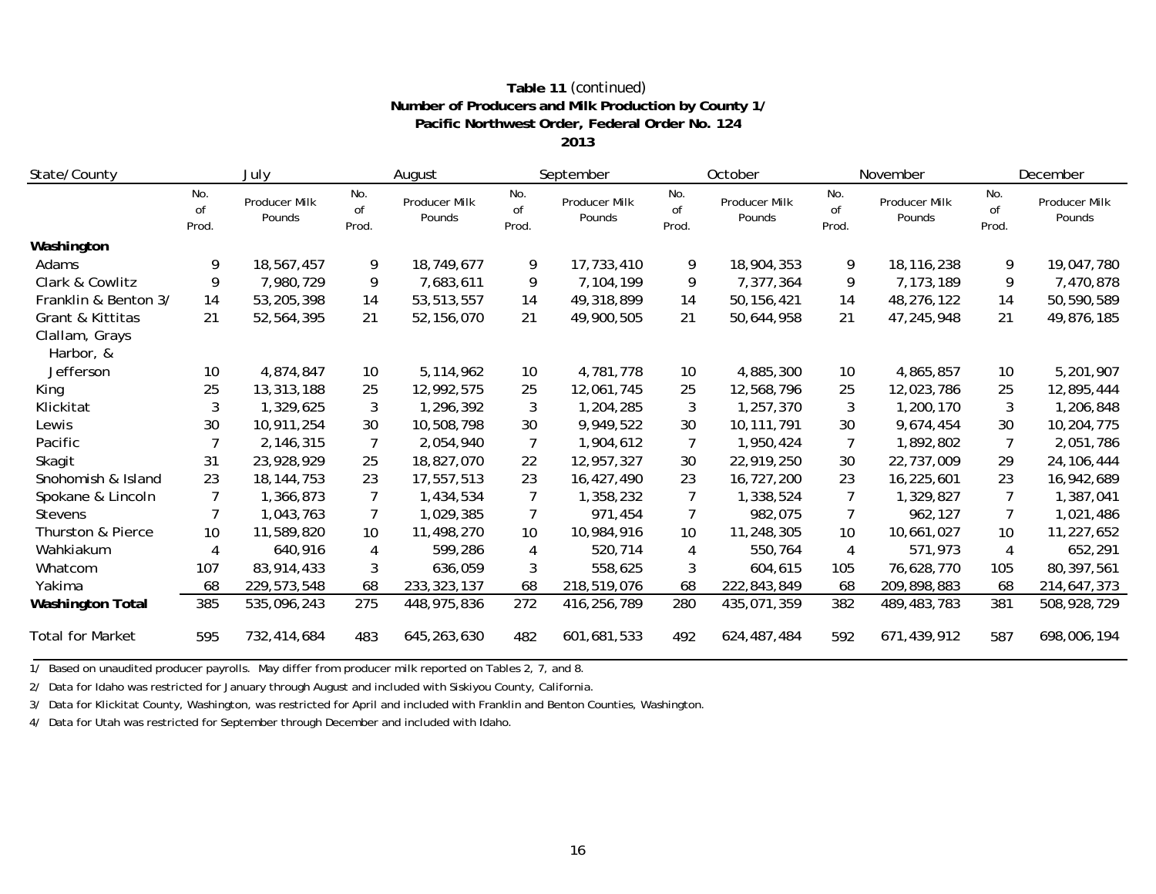## **Pacific Northwest Order, Federal Order No. 124 Number of Producers and Milk Production by County 1/ Table 11** *(continued)*

**2013**

| State/County                |                    | July                    | August             |                         |                    | September               | October            |                         |                    | November                | December           |                         |
|-----------------------------|--------------------|-------------------------|--------------------|-------------------------|--------------------|-------------------------|--------------------|-------------------------|--------------------|-------------------------|--------------------|-------------------------|
|                             | No.<br>of<br>Prod. | Producer Milk<br>Pounds | No.<br>of<br>Prod. | Producer Milk<br>Pounds | No.<br>of<br>Prod. | Producer Milk<br>Pounds | No.<br>of<br>Prod. | Producer Milk<br>Pounds | No.<br>of<br>Prod. | Producer Milk<br>Pounds | No.<br>of<br>Prod. | Producer Milk<br>Pounds |
| Washington                  |                    |                         |                    |                         |                    |                         |                    |                         |                    |                         |                    |                         |
| Adams                       | 9                  | 18,567,457              | 9                  | 18,749,677              | 9                  | 17,733,410              | 9                  | 18,904,353              | 9                  | 18,116,238              | 9                  | 19,047,780              |
| Clark & Cowlitz             | 9                  | 7,980,729               | 9                  | 7,683,611               | 9                  | 7,104,199               | 9                  | 7,377,364               | 9                  | 7,173,189               | 9                  | 7,470,878               |
| Franklin & Benton 3/        | 14                 | 53,205,398              | 14                 | 53,513,557              | 14                 | 49,318,899              | 14                 | 50, 156, 421            | 14                 | 48,276,122              | 14                 | 50,590,589              |
| Grant & Kittitas            | 21                 | 52,564,395              | 21                 | 52,156,070              | 21                 | 49,900,505              | 21                 | 50,644,958              | 21                 | 47,245,948              | 21                 | 49,876,185              |
| Clallam, Grays<br>Harbor, & |                    |                         |                    |                         |                    |                         |                    |                         |                    |                         |                    |                         |
| Jefferson                   | 10                 | 4,874,847               | 10                 | 5,114,962               | 10                 | 4,781,778               | 10                 | 4,885,300               | 10                 | 4,865,857               | 10                 | 5,201,907               |
| King                        | 25                 | 13,313,188              | 25                 | 12,992,575              | 25                 | 12,061,745              | 25                 | 12,568,796              | 25                 | 12,023,786              | 25                 | 12,895,444              |
| Klickitat                   | 3                  | 1,329,625               | 3                  | 1,296,392               | 3                  | 1,204,285               | 3                  | 1,257,370               | 3                  | 1,200,170               | 3                  | 1,206,848               |
| Lewis                       | 30                 | 10,911,254              | 30                 | 10,508,798              | 30                 | 9,949,522               | 30                 | 10, 111, 791            | 30                 | 9,674,454               | 30                 | 10,204,775              |
| Pacific                     |                    | 2,146,315               | 7                  | 2,054,940               | $\overline{7}$     | 1,904,612               | $\overline{7}$     | 1,950,424               | 7                  | 1,892,802               | 7                  | 2,051,786               |
| Skagit                      | 31                 | 23,928,929              | 25                 | 18,827,070              | 22                 | 12,957,327              | 30                 | 22,919,250              | 30                 | 22,737,009              | 29                 | 24, 106, 444            |
| Snohomish & Island          | 23                 | 18, 144, 753            | 23                 | 17,557,513              | 23                 | 16,427,490              | 23                 | 16,727,200              | 23                 | 16,225,601              | 23                 | 16,942,689              |
| Spokane & Lincoln           | 7                  | 1,366,873               |                    | 1,434,534               | $\overline{7}$     | 1,358,232               | 7                  | 1,338,524               | 7                  | 1,329,827               |                    | 1,387,041               |
| <b>Stevens</b>              |                    | 1,043,763               | 7                  | 1,029,385               | 7                  | 971,454                 | 7                  | 982,075                 | 7                  | 962,127                 | 7                  | 1,021,486               |
| Thurston & Pierce           | 10                 | 11,589,820              | 10                 | 11,498,270              | 10                 | 10,984,916              | 10                 | 11,248,305              | 10                 | 10,661,027              | 10                 | 11,227,652              |
| Wahkiakum                   | 4                  | 640,916                 | 4                  | 599,286                 | 4                  | 520,714                 | 4                  | 550,764                 | 4                  | 571,973                 | 4                  | 652,291                 |
| Whatcom                     | 107                | 83,914,433              | 3                  | 636,059                 | 3                  | 558,625                 | 3                  | 604,615                 | 105                | 76,628,770              | 105                | 80,397,561              |
| Yakima                      | 68                 | 229,573,548             | 68                 | 233, 323, 137           | 68                 | 218,519,076             | 68                 | 222,843,849             | 68                 | 209,898,883             | 68                 | 214,647,373             |
| <b>Washington Total</b>     | 385                | 535,096,243             | 275                | 448,975,836             | 272                | 416,256,789             | 280                | 435,071,359             | 382                | 489,483,783             | 381                | 508,928,729             |
| <b>Total for Market</b>     | 595                | 732,414,684             | 483                | 645,263,630             | 482                | 601,681,533             | 492                | 624,487,484             | 592                | 671,439,912             | 587                | 698,006,194             |

1/ Based on unaudited producer payrolls. May differ from producer milk reported on Tables 2, 7, and 8.

2/ Data for Idaho was restricted for January through August and included with Siskiyou County, California.

3/ Data for Klickitat County, Washington, was restricted for April and included with Franklin and Benton Counties, Washington.

4/ Data for Utah was restricted for September through December and included with Idaho.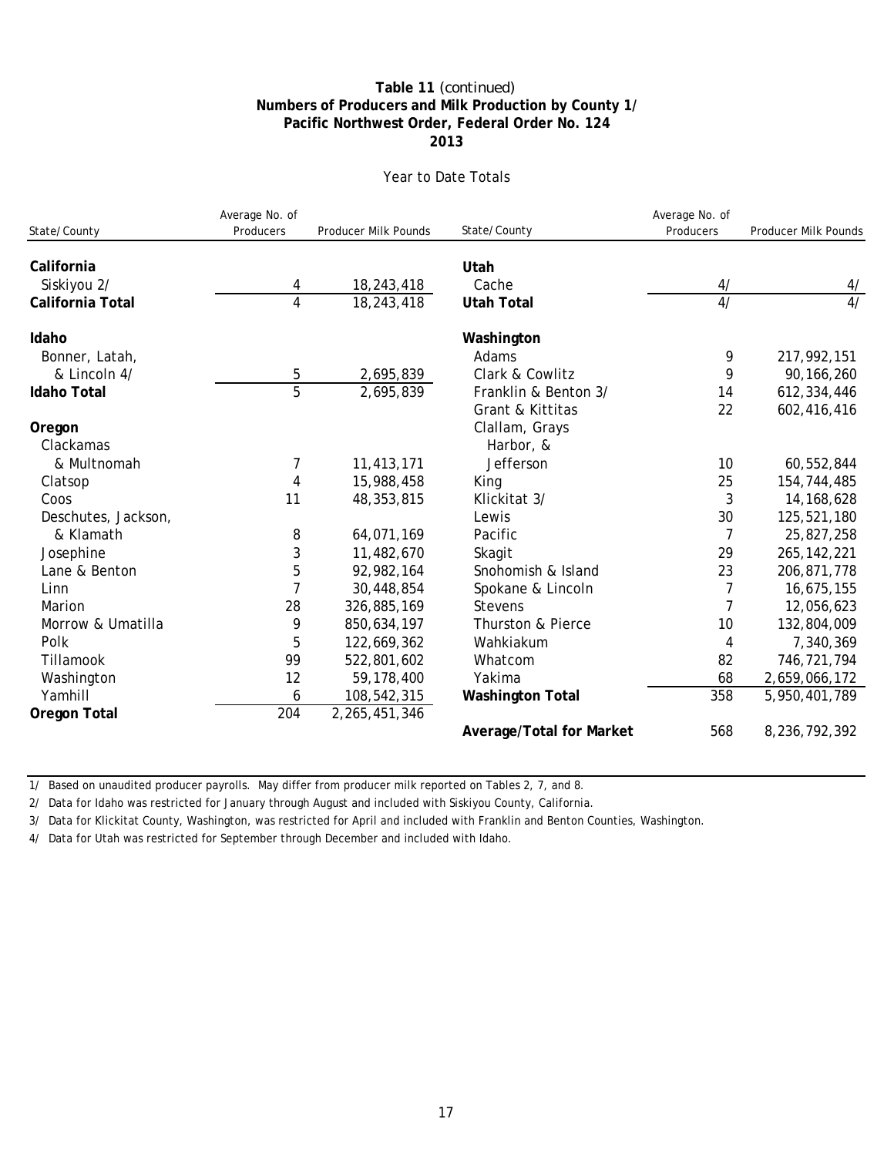## **Pacific Northwest Order, Federal Order No. 124 Numbers of Producers and Milk Production by County 1/ Table 11** *(continued)* **2013**

## Year to Date Totals

|                     | Average No. of<br>Producers | Producer Milk Pounds |                          | Average No. of<br>Producers | Producer Milk Pounds |
|---------------------|-----------------------------|----------------------|--------------------------|-----------------------------|----------------------|
| State/County        |                             |                      | State/County             |                             |                      |
| California          |                             |                      | Utah                     |                             |                      |
| Siskiyou 2/         | 4                           | 18,243,418           | Cache                    | 4/                          | 4/                   |
| California Total    | 4                           | 18,243,418           | <b>Utah Total</b>        | 4/                          | $\overline{4/}$      |
| Idaho               |                             |                      | Washington               |                             |                      |
| Bonner, Latah,      |                             |                      | Adams                    | 9                           | 217,992,151          |
| & Lincoln 4/        | 5                           | 2,695,839            | Clark & Cowlitz          | 9                           | 90, 166, 260         |
| <b>Idaho Total</b>  | 5                           | 2,695,839            | Franklin & Benton 3/     | 14                          | 612,334,446          |
|                     |                             |                      | Grant & Kittitas         | 22                          | 602,416,416          |
| Oregon              |                             |                      | Clallam, Grays           |                             |                      |
| Clackamas           |                             |                      | Harbor, &                |                             |                      |
| & Multnomah         | 7                           | 11,413,171           | Jefferson                | 10                          | 60,552,844           |
| Clatsop             | $\overline{4}$              | 15,988,458           | King                     | 25                          | 154,744,485          |
| Coos                | 11                          | 48, 353, 815         | Klickitat 3/             | 3                           | 14, 168, 628         |
| Deschutes, Jackson, |                             |                      | Lewis                    | 30                          | 125,521,180          |
| & Klamath           | 8                           | 64,071,169           | Pacific                  | 7                           | 25,827,258           |
| Josephine           | 3                           | 11,482,670           | Skagit                   | 29                          | 265, 142, 221        |
| Lane & Benton       | 5                           | 92,982,164           | Snohomish & Island       | 23                          | 206,871,778          |
| Linn                | $\overline{7}$              | 30,448,854           | Spokane & Lincoln        | 7                           | 16,675,155           |
| Marion              | 28                          | 326,885,169          | <b>Stevens</b>           | 7                           | 12,056,623           |
| Morrow & Umatilla   | 9                           | 850,634,197          | Thurston & Pierce        | 10                          | 132,804,009          |
| Polk                | 5                           | 122,669,362          | Wahkiakum                | 4                           | 7,340,369            |
| Tillamook           | 99                          | 522,801,602          | Whatcom                  | 82                          | 746,721,794          |
| Washington          | 12                          | 59,178,400           | Yakima                   | 68                          | 2,659,066,172        |
| Yamhill             | 6                           | 108,542,315          | <b>Washington Total</b>  | 358                         | 5,950,401,789        |
| Oregon Total        | 204                         | 2,265,451,346        |                          |                             |                      |
|                     |                             |                      | Average/Total for Market | 568                         | 8,236,792,392        |

1/ Based on unaudited producer payrolls. May differ from producer milk reported on Tables 2, 7, and 8.

2/ Data for Idaho was restricted for January through August and included with Siskiyou County, California.

3/ Data for Klickitat County, Washington, was restricted for April and included with Franklin and Benton Counties, Washington.

4/ Data for Utah was restricted for September through December and included with Idaho.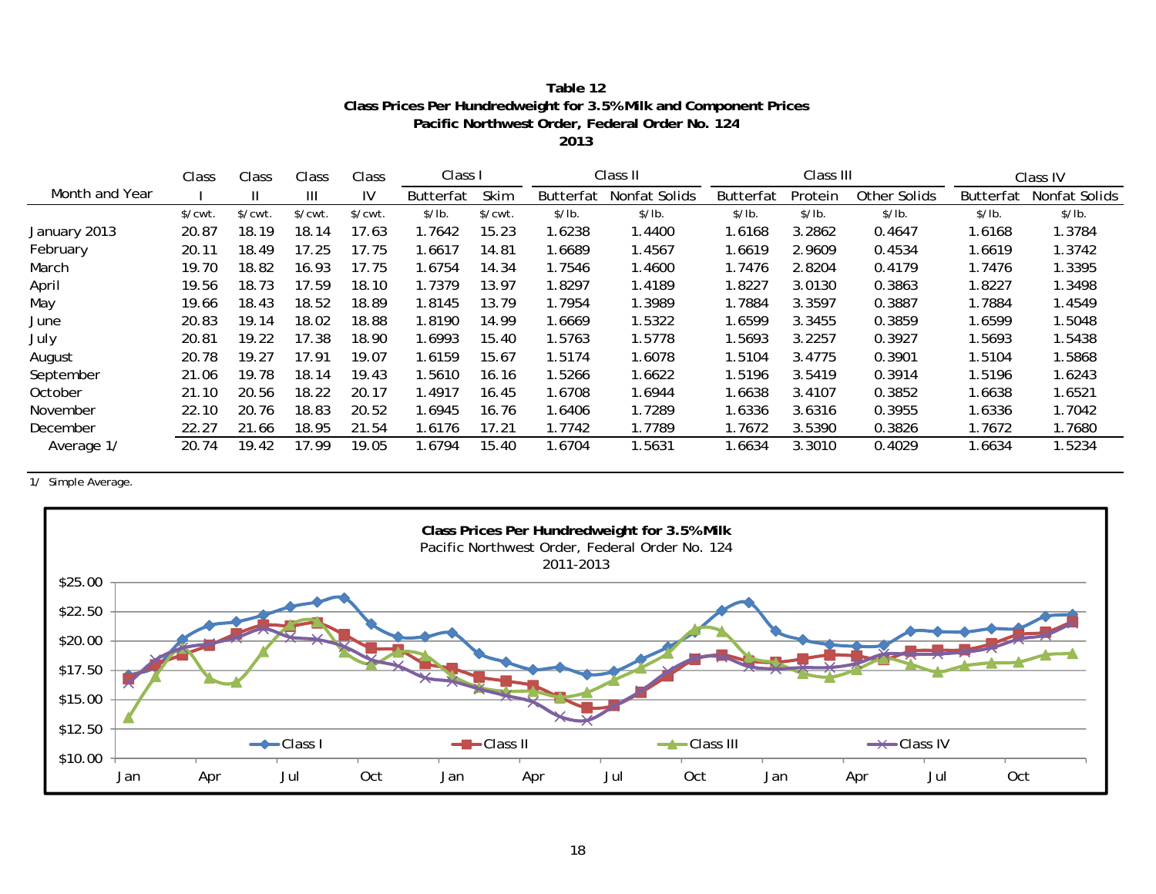| Table 12                                                          |
|-------------------------------------------------------------------|
| Class Prices Per Hundredweight for 3.5% Milk and Component Prices |
| Pacific Northwest Order, Federal Order No. 124                    |
|                                                                   |

**2013**

|                | Class                 | Class                 | Class                 | Class                 | Class I   |         |                  | Class II      |                  | Class III |              |                  | Class IV      |
|----------------|-----------------------|-----------------------|-----------------------|-----------------------|-----------|---------|------------------|---------------|------------------|-----------|--------------|------------------|---------------|
| Month and Year |                       | $\mathbf{H}$          | Ш                     | IV                    | Butterfat | Skim    | <b>Butterfat</b> | Nonfat Solids | <b>Butterfat</b> | Protein   | Other Solids | <b>Butterfat</b> | Nonfat Solids |
|                | $\sqrt{\text{cwt}}$ . | $\sqrt{\text{cwt}}$ . | $\sqrt{\text{cwt}}$ . | $\sqrt{\text{cwt}}$ . | \$/lb.    | \$/cut. | \$/lb.           | \$/lb.        | \$/lb.           | \$/lb.    | \$/lb.       | \$/lb.           | \$/lb.        |
| January 2013   | 20.87                 | 18.19                 | 18.14                 | 17.63                 | 1.7642    | 15.23   | 1.6238           | 1.4400        | 1.6168           | 3.2862    | 0.4647       | 1.6168           | 1.3784        |
| February       | 20.11                 | 18.49                 | 17.25                 | 17.75                 | .6617     | 14.81   | 1.6689           | 1.4567        | 1.6619           | 2.9609    | 0.4534       | 1.6619           | 1.3742        |
| March          | 19.70                 | 18.82                 | 16.93                 | 17.75                 | .6754     | 14.34   | 1.7546           | 1.4600        | 1.7476           | 2.8204    | 0.4179       | 1.7476           | 1.3395        |
| April          | 19.56                 | 18.73                 | 17.59                 | 18.10                 | 1.7379    | 13.97   | 1.8297           | 1.4189        | 1.8227           | 3.0130    | 0.3863       | 1.8227           | 1.3498        |
| May            | 19.66                 | 18.43                 | 18.52                 | 18.89                 | 1.8145    | 13.79   | 1.7954           | 1.3989        | 1.7884           | 3.3597    | 0.3887       | 1.7884           | 1.4549        |
| June           | 20.83                 | 19.14                 | 18.02                 | 18.88                 | 1.8190    | 14.99   | 1.6669           | 1.5322        | 1.6599           | 3.3455    | 0.3859       | 1.6599           | 1.5048        |
| July           | 20.81                 | 19.22                 | 17.38                 | 18.90                 | .6993     | 15.40   | 1.5763           | 1.5778        | 1.5693           | 3.2257    | 0.3927       | 1.5693           | 1.5438        |
| August         | 20.78                 | 19.27                 | 17.91                 | 19.07                 | 1.6159    | 15.67   | 1.5174           | 1.6078        | 1.5104           | 3.4775    | 0.3901       | 1.5104           | 1.5868        |
| September      | 21.06                 | 19.78                 | 18.14                 | 19.43                 | .5610     | 16.16   | 1.5266           | 1.6622        | 1.5196           | 3.5419    | 0.3914       | 1.5196           | 1.6243        |
| October        | 21.10                 | 20.56                 | 18.22                 | 20.17                 | .4917     | 16.45   | 1.6708           | 1.6944        | 1.6638           | 3.4107    | 0.3852       | 1.6638           | 1.6521        |
| November       | 22.10                 | 20.76                 | 18.83                 | 20.52                 | .6945     | 16.76   | 1.6406           | 1.7289        | 1.6336           | 3.6316    | 0.3955       | 1.6336           | 1.7042        |
| December       | 22.27                 | 21.66                 | 18.95                 | 21.54                 | .6176     | 17.21   | 1.7742           | 1.7789        | 1.7672           | 3.5390    | 0.3826       | 1.7672           | 1.7680        |
| Average 1/     | 20.74                 | 19.42                 | 17.99                 | 19.05                 | .6794     | 15.40   | 1.6704           | 1.5631        | 1.6634           | 3.3010    | 0.4029       | 1.6634           | 1.5234        |

1/ Simple Average.

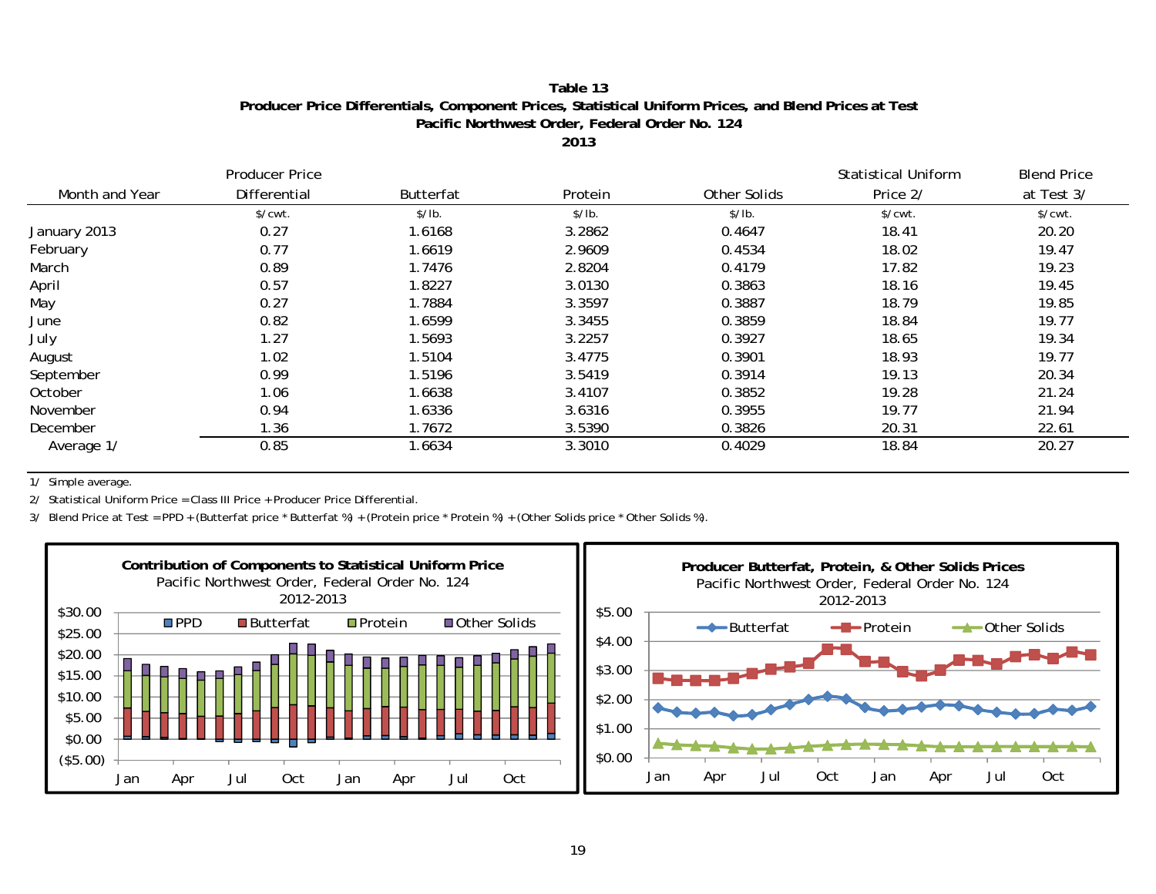## **Table 13Producer Price Differentials, Component Prices, Statistical Uniform Prices, and Blend Prices at Test Pacific Northwest Order, Federal Order No. 124**

**2013**

|                | <b>Producer Price</b> |                  |         |              | <b>Statistical Uniform</b> | <b>Blend Price</b>    |
|----------------|-----------------------|------------------|---------|--------------|----------------------------|-----------------------|
| Month and Year | Differential          | <b>Butterfat</b> | Protein | Other Solids | Price 2/                   | at Test 3/            |
|                | $\sqrt{\text{cwt}}$ . | \$/lb.           | \$/lb.  | \$/lb.       | \$/cwt.                    | $\sqrt{\text{cwt}}$ . |
| January 2013   | 0.27                  | 1.6168           | 3.2862  | 0.4647       | 18.41                      | 20.20                 |
| February       | 0.77                  | 1.6619           | 2.9609  | 0.4534       | 18.02                      | 19.47                 |
| March          | 0.89                  | 1.7476           | 2.8204  | 0.4179       | 17.82                      | 19.23                 |
| April          | 0.57                  | 1.8227           | 3.0130  | 0.3863       | 18.16                      | 19.45                 |
| May            | 0.27                  | 1.7884           | 3.3597  | 0.3887       | 18.79                      | 19.85                 |
| June           | 0.82                  | 1.6599           | 3.3455  | 0.3859       | 18.84                      | 19.77                 |
| July           | 1.27                  | 1.5693           | 3.2257  | 0.3927       | 18.65                      | 19.34                 |
| August         | 1.02                  | 1.5104           | 3.4775  | 0.3901       | 18.93                      | 19.77                 |
| September      | 0.99                  | 1.5196           | 3.5419  | 0.3914       | 19.13                      | 20.34                 |
| October        | 1.06                  | 1.6638           | 3.4107  | 0.3852       | 19.28                      | 21.24                 |
| November       | 0.94                  | 1.6336           | 3.6316  | 0.3955       | 19.77                      | 21.94                 |
| December       | 1.36                  | 1.7672           | 3.5390  | 0.3826       | 20.31                      | 22.61                 |
| Average 1/     | 0.85                  | 1.6634           | 3.3010  | 0.4029       | 18.84                      | 20.27                 |

1/ Simple average.

2/ Statistical Uniform Price = Class III Price + Producer Price Differential.

3/ Blend Price at Test = PPD + (Butterfat price \* Butterfat %) + (Protein price \* Protein %) + (Other Solids price \* Other Solids %).

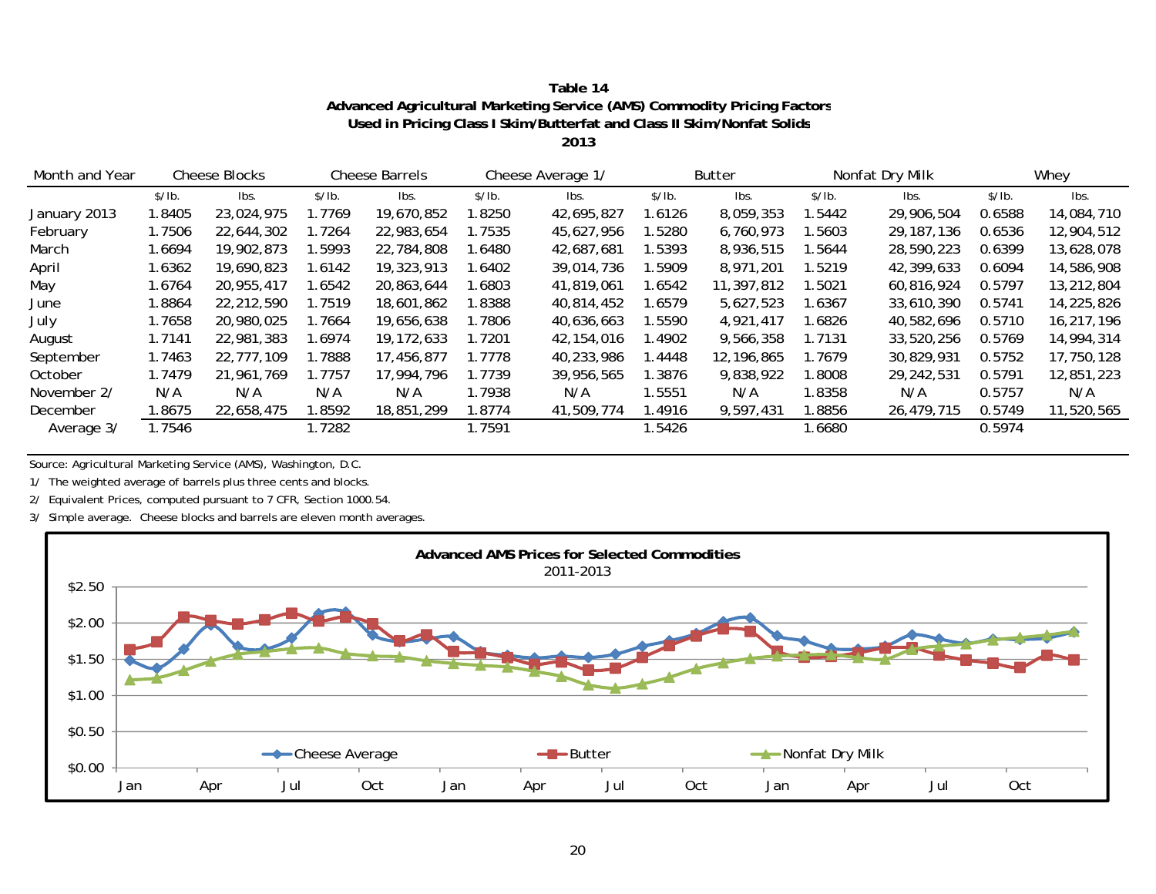| Table 14                                                                |
|-------------------------------------------------------------------------|
| Advanced Agricultural Marketing Service (AMS) Commodity Pricing Factors |
| Used in Pricing Class I Skim/Butterfat and Class II Skim/Nonfat Solids  |

**2013**

| Month and Year |        | <b>Cheese Blocks</b> |        | <b>Cheese Barrels</b> |         | Cheese Average 1/ |        | <b>Butter</b> |        | Nonfat Dry Milk |        | Whey       |
|----------------|--------|----------------------|--------|-----------------------|---------|-------------------|--------|---------------|--------|-----------------|--------|------------|
|                | \$/lb. | Ibs.                 | \$/lb. | lbs.                  | \$/lb.  | lbs.              | \$/lb. | Ibs.          | \$/lb. | Ibs.            | \$/lb. | lbs.       |
| January 2013   | .8405  | 23,024,975           | 1.7769 | 19,670,852            | 1.8250  | 42,695,827        | l.6126 | 8,059,353     | 1.5442 | 29,906,504      | 0.6588 | 14,084,710 |
| February       | 1.7506 | 22,644,302           | 1.7264 | 22,983,654            | l.7535  | 45,627,956        | .5280  | 6,760,973     | 1.5603 | 29, 187, 136    | 0.6536 | 12,904,512 |
| March          | l.6694 | 19,902,873           | .5993  | 22,784,808            | 1.6480  | 42.687.681        | 1.5393 | 8,936,515     | 1.5644 | 28,590,223      | 0.6399 | 13,628,078 |
| April          | 1.6362 | 19,690,823           | 1.6142 | 19,323,913            | 8402. ا | 39,014,736        | .5909  | 8,971,201     | 1.5219 | 42,399,633      | 0.6094 | 14,586,908 |
| May            | 1.6764 | 20.955.417           | 1.6542 | 20.863.644            | 1.6803  | 41,819,061        | 1.6542 | 11,397,812    | 1.5021 | 60.816.924      | 0.5797 | 13,212,804 |
| June           | 1.8864 | 22,212,590           | 1.7519 | 18,601,862            | 1.8388  | 40.814.452        | 1.6579 | 5,627,523     | 1.6367 | 33,610,390      | 0.5741 | 14,225,826 |
| July           | 1.7658 | 20,980,025           | 1.7664 | 19,656,638            | 1.7806  | 40.636.663        | .5590  | 4,921,417     | 1.6826 | 40,582,696      | 0.5710 | 16,217,196 |
| August         | 1.7141 | 22,981,383           | .6974  | 19, 172, 633          | 1.7201  | 42, 154, 016      | .4902  | 9,566,358     | 1.7131 | 33,520,256      | 0.5769 | 14,994,314 |
| September      | 1.7463 | 22,777,109           | .7888  | 17,456,877            | 1.7778  | 40,233,986        | .4448  | 12.196.865    | 1.7679 | 30,829,931      | 0.5752 | 17,750,128 |
| October        | 1.7479 | 21,961,769           | 1.7757 | 17.994.796            | 1.7739  | 39,956,565        | l.3876 | 9,838,922     | 1.8008 | 29,242,531      | 0.5791 | 12,851,223 |
| November 2/    | N/A    | N/A                  | N/A    | N/A                   | 1.7938  | N/A               | 1.5551 | N/A           | 1.8358 | N/A             | 0.5757 | N/A        |
| December       | .8675  | 22,658,475           | .8592  | 18,851,299            | 1.8774  | 41,509,774        | .4916  | 9,597,431     | 1.8856 | 26,479,715      | 0.5749 | 11,520,565 |
| Average 3/     | 1.7546 |                      | 1.7282 |                       | 1.7591  |                   | 1.5426 |               | .6680  |                 | 0.5974 |            |

Source: Agricultural Marketing Service (AMS), Washington, D.C.

1/ The weighted average of barrels plus three cents and blocks.

2/ Equivalent Prices, computed pursuant to 7 CFR, Section 1000.54.

3/ Simple average. Cheese blocks and barrels are eleven month averages.

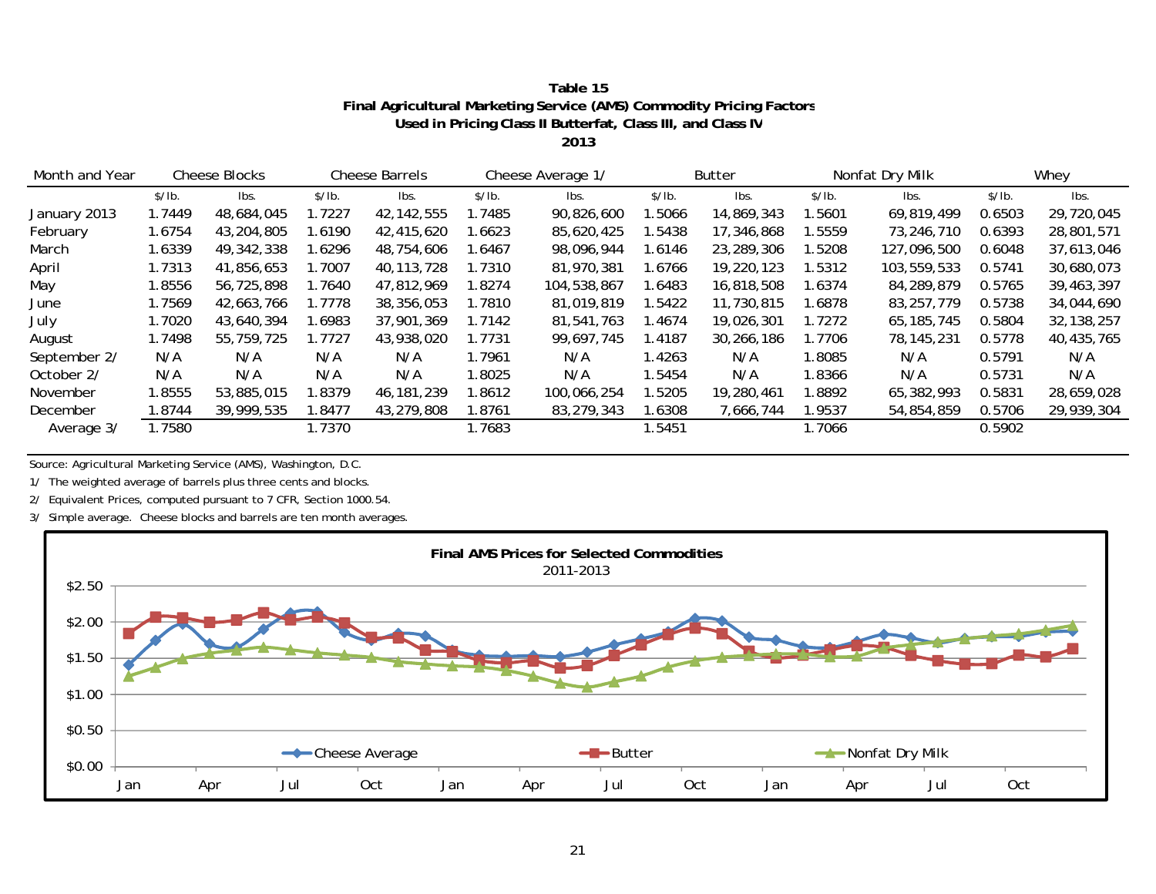| Table 15                                                             |
|----------------------------------------------------------------------|
| Final Agricultural Marketing Service (AMS) Commodity Pricing Factors |
| Used in Pricing Class II Butterfat, Class III, and Class IV          |

**2013**

| Month and Year |        | <b>Cheese Blocks</b> |        | <b>Cheese Barrels</b> |        | Cheese Average 1/ |        | Butter     |        | Nonfat Dry Milk |        | Whey         |
|----------------|--------|----------------------|--------|-----------------------|--------|-------------------|--------|------------|--------|-----------------|--------|--------------|
|                | \$/lb. | lbs.                 | \$/lb. | lbs.                  | \$/lb. | lbs.              | \$/lb. | lbs.       | \$/lb. | lbs.            | \$/lb. | lbs.         |
| January 2013   | 1.7449 | 48,684,045           | 1.7227 | 42, 142, 555          | 1.7485 | 90,826,600        | .5066  | 14,869,343 | 1.5601 | 69,819,499      | 0.6503 | 29,720,045   |
| February       | 1.6754 | 43,204,805           | .6190  | 42,415,620            | 1.6623 | 85,620,425        | .5438  | 17,346,868 | 1.5559 | 73,246,710      | 0.6393 | 28,801,571   |
| March          | 1.6339 | 49,342,338           | .6296  | 48,754,606            | 1.6467 | 98,096,944        | .6146  | 23,289,306 | 1.5208 | 127,096,500     | 0.6048 | 37,613,046   |
| April          | 1.7313 | 41,856,653           | .7007  | 40, 113, 728          | 1.7310 | 81,970,381        | .6766  | 19,220,123 | 1.5312 | 103,559,533     | 0.5741 | 30,680,073   |
| May            | 1.8556 | 56,725,898           | 1.7640 | 47,812,969            | 1.8274 | 104,538,867       | 1.6483 | 16,818,508 | 1.6374 | 84,289,879      | 0.5765 | 39,463,397   |
| June           | 1.7569 | 42,663,766           | 1.7778 | 38,356,053            | 1.7810 | 81,019,819        | 1.5422 | 11,730,815 | 1.6878 | 83,257,779      | 0.5738 | 34,044,690   |
| July           | 1.7020 | 43,640,394           | .6983  | 37,901,369            | 1.7142 | 81.541.763        | 1.4674 | 19,026,301 | 1.7272 | 65, 185, 745    | 0.5804 | 32, 138, 257 |
| August         | 1.7498 | 55,759,725           | 1.7727 | 43,938,020            | 1.7731 | 99,697,745        | 1.4187 | 30,266,186 | 1.7706 | 78, 145, 231    | 0.5778 | 40,435,765   |
| September 2/   | N/A    | N/A                  | N/A    | N/A                   | 1.7961 | N/A               | 1.4263 | N/A        | 1.8085 | N/A             | 0.5791 | N/A          |
| October 2/     | N/A    | N/A                  | N/A    | N/A                   | 1.8025 | N/A               | .5454  | N/A        | 1.8366 | N/A             | 0.5731 | N/A          |
| November       | 1.8555 | 53,885,015           | .8379  | 46,181,239            | 1.8612 | 100.066.254       | .5205  | 19,280,461 | 1.8892 | 65,382,993      | 0.5831 | 28,659,028   |
| December       | 1.8744 | 39,999,535           | .8477  | 43,279,808            | 1.8761 | 83,279,343        | .6308  | 7,666,744  | 1.9537 | 54,854,859      | 0.5706 | 29,939,304   |
| Average 3/     | 1.7580 |                      | 1.7370 |                       | 1.7683 |                   | .5451  |            | 1.7066 |                 | 0.5902 |              |

Source: Agricultural Marketing Service (AMS), Washington, D.C.

1/ The weighted average of barrels plus three cents and blocks.

2/ Equivalent Prices, computed pursuant to 7 CFR, Section 1000.54.

3/ Simple average. Cheese blocks and barrels are ten month averages.

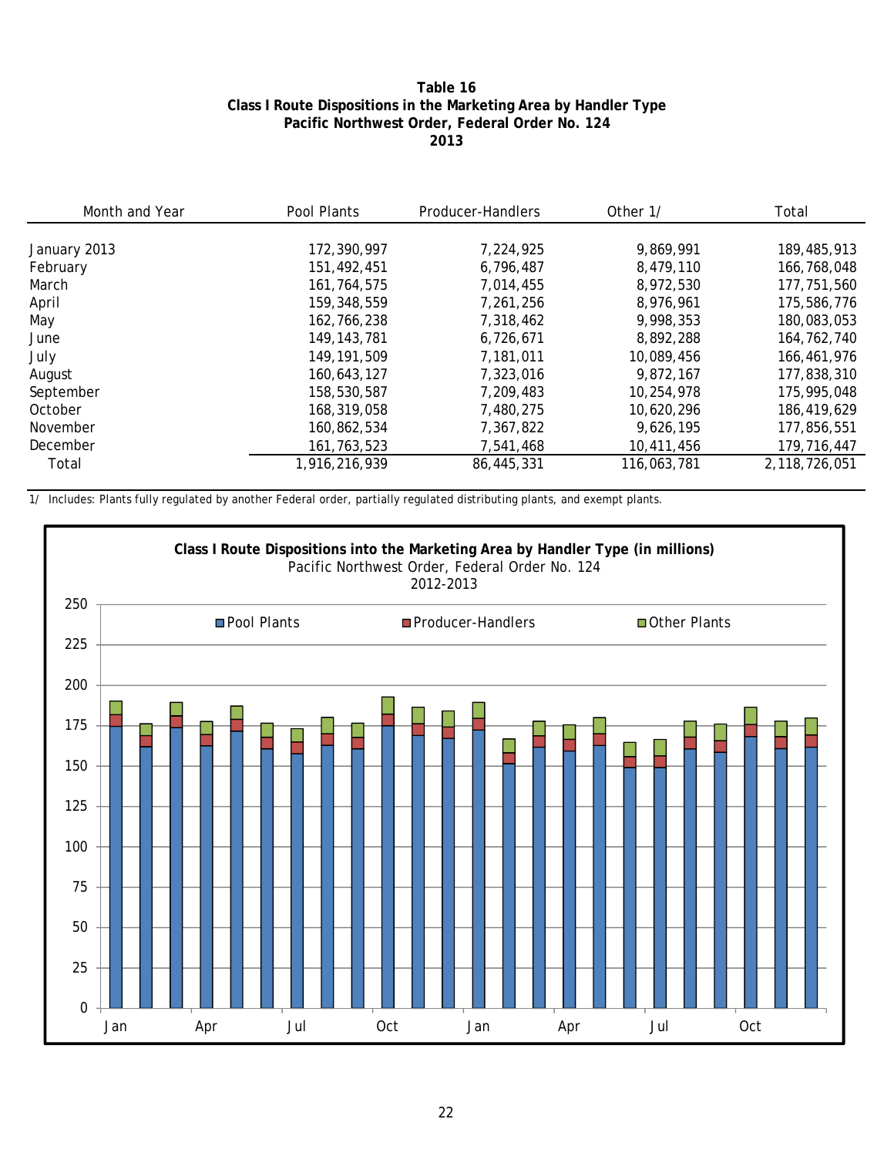#### **Table 16 Class I Route Dispositions in the Marketing Area by Handler Type Pacific Northwest Order, Federal Order No. 124 2013**

| Month and Year | Pool Plants   | Producer-Handlers | Other 1/    | Total         |
|----------------|---------------|-------------------|-------------|---------------|
|                |               |                   |             |               |
| January 2013   | 172,390,997   | 7.224.925         | 9,869,991   | 189,485,913   |
| February       | 151,492,451   | 6,796,487         | 8.479.110   | 166,768,048   |
| March          | 161,764,575   | 7.014.455         | 8.972.530   | 177,751,560   |
| April          | 159,348,559   | 7.261.256         | 8.976.961   | 175,586,776   |
| May            | 162,766,238   | 7,318,462         | 9.998.353   | 180,083,053   |
| June           | 149, 143, 781 | 6.726.671         | 8,892,288   | 164,762,740   |
| July           | 149, 191, 509 | 7,181,011         | 10,089,456  | 166,461,976   |
| August         | 160,643,127   | 7,323,016         | 9,872,167   | 177,838,310   |
| September      | 158,530,587   | 7.209.483         | 10,254,978  | 175,995,048   |
| October        | 168,319,058   | 7,480,275         | 10,620,296  | 186,419,629   |
| November       | 160.862.534   | 7,367,822         | 9,626,195   | 177,856,551   |
| December       | 161, 763, 523 | 7,541,468         | 10,411,456  | 179,716,447   |
| Total          | 1,916,216,939 | 86,445,331        | 116,063,781 | 2,118,726,051 |

1/ Includes: Plants fully regulated by another Federal order, partially regulated distributing plants, and exempt plants.

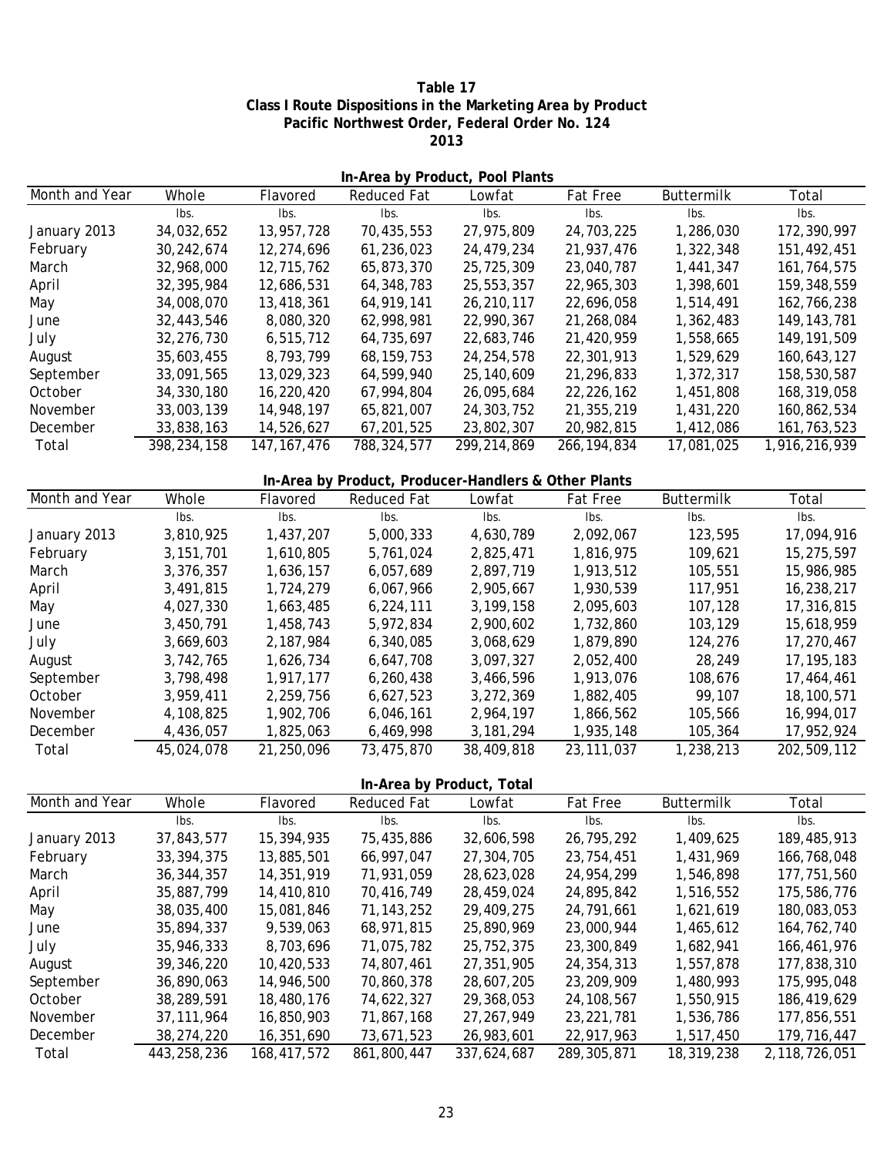**Table 17 Class I Route Dispositions in the Marketing Area by Product Pacific Northwest Order, Federal Order No. 124 2013**

| In-Area by Product, Pool Plants |             |               |                                                      |              |                 |                   |               |
|---------------------------------|-------------|---------------|------------------------------------------------------|--------------|-----------------|-------------------|---------------|
| Month and Year                  | Whole       | Flavored      | Reduced Fat                                          | Lowfat       | Fat Free        | Buttermilk        | Total         |
|                                 | Ibs.        | lbs.          | Ibs.                                                 | Ibs.         | Ibs.            | Ibs.              | Ibs.          |
| January 2013                    | 34,032,652  | 13,957,728    | 70,435,553                                           | 27,975,809   | 24,703,225      | 1,286,030         | 172,390,997   |
| February                        | 30,242,674  | 12,274,696    | 61,236,023                                           | 24,479,234   | 21,937,476      | 1,322,348         | 151,492,451   |
| March                           | 32,968,000  | 12,715,762    | 65,873,370                                           | 25,725,309   | 23,040,787      | 1,441,347         | 161,764,575   |
| April                           | 32,395,984  | 12,686,531    | 64,348,783                                           | 25,553,357   | 22,965,303      | 1,398,601         | 159,348,559   |
| May                             | 34,008,070  | 13,418,361    | 64,919,141                                           | 26,210,117   | 22,696,058      | 1,514,491         | 162,766,238   |
| June                            | 32,443,546  | 8,080,320     | 62,998,981                                           | 22,990,367   | 21,268,084      | 1,362,483         | 149, 143, 781 |
| July                            | 32,276,730  | 6,515,712     | 64,735,697                                           | 22,683,746   | 21,420,959      | 1,558,665         | 149, 191, 509 |
| August                          | 35,603,455  | 8,793,799     | 68, 159, 753                                         | 24, 254, 578 | 22,301,913      | 1,529,629         | 160,643,127   |
| September                       | 33,091,565  | 13,029,323    | 64,599,940                                           | 25,140,609   | 21,296,833      | 1,372,317         | 158,530,587   |
| October                         | 34,330,180  | 16,220,420    | 67,994,804                                           | 26,095,684   | 22,226,162      | 1,451,808         | 168,319,058   |
| November                        | 33,003,139  | 14,948,197    | 65,821,007                                           | 24,303,752   | 21,355,219      | 1,431,220         | 160,862,534   |
| December                        | 33,838,163  | 14,526,627    | 67,201,525                                           | 23,802,307   | 20,982,815      | 1,412,086         | 161, 763, 523 |
| Total                           | 398,234,158 | 147, 167, 476 | 788, 324, 577                                        | 299,214,869  | 266, 194, 834   | 17,081,025        | 1,916,216,939 |
|                                 |             |               | In-Area by Product, Producer-Handlers & Other Plants |              |                 |                   |               |
| Month and Year                  | Whole       | Flavored      | <b>Reduced Fat</b>                                   | Lowfat       | <b>Fat Free</b> | <b>Buttermilk</b> | Total         |
|                                 | Ibs.        | Ibs.          | Ibs.                                                 | Ibs.         | Ibs.            | Ibs.              | Ibs.          |
| January 2013                    | 3,810,925   | 1,437,207     | 5,000,333                                            | 4,630,789    | 2,092,067       | 123,595           | 17,094,916    |
| February                        | 3, 151, 701 | 1,610,805     | 5,761,024                                            | 2,825,471    | 1,816,975       | 109,621           | 15,275,597    |
| March                           | 3,376,357   | 1,636,157     | 6,057,689                                            | 2,897,719    | 1,913,512       | 105,551           | 15,986,985    |
| April                           | 3,491,815   | 1,724,279     | 6,067,966                                            | 2,905,667    | 1,930,539       | 117,951           | 16,238,217    |
| May                             | 4,027,330   | 1,663,485     | 6,224,111                                            | 3,199,158    | 2,095,603       | 107,128           | 17,316,815    |
| June                            | 3,450,791   | 1,458,743     | 5,972,834                                            | 2,900,602    | 1,732,860       | 103,129           | 15,618,959    |
| July                            | 3,669,603   | 2,187,984     | 6,340,085                                            | 3,068,629    | 1,879,890       | 124,276           | 17,270,467    |
| August                          | 3,742,765   | 1,626,734     | 6,647,708                                            | 3,097,327    | 2,052,400       | 28,249            | 17, 195, 183  |
| September                       | 3,798,498   | 1,917,177     | 6,260,438                                            | 3,466,596    | 1,913,076       | 108,676           | 17,464,461    |
| October                         | 3,959,411   | 2,259,756     | 6,627,523                                            | 3,272,369    | 1,882,405       | 99,107            | 18,100,571    |
| November                        | 4,108,825   | 1,902,706     | 6,046,161                                            | 2,964,197    | 1,866,562       | 105,566           | 16,994,017    |

**In-Area by Product, Total**

December 1,825,063 4,436,057 6,469,998 3,181,294 1,935,148 105,364 17,952,924 Total 45,024,078 21,250,096 73,475,870 38,409,818 23,111,037 1,238,213 202,509,112

| Month and Year | Whole<br>Flavored |             | <b>Reduced Fat</b> | Lowfat      | <b>Fat Free</b> | <b>Buttermilk</b> | Total         |
|----------------|-------------------|-------------|--------------------|-------------|-----------------|-------------------|---------------|
|                | lbs.              | lbs.        | lbs.               | lbs.        | lbs.            | lbs.              | lbs.          |
| January 2013   | 37,843,577        | 15,394,935  | 75,435,886         | 32,606,598  | 26,795,292      | 1,409,625         | 189,485,913   |
| February       | 33, 394, 375      | 13,885,501  | 66,997,047         | 27,304,705  | 23,754,451      | 1,431,969         | 166,768,048   |
| March          | 36, 344, 357      | 14,351,919  | 71,931,059         | 28,623,028  | 24,954,299      | 1,546,898         | 177,751,560   |
| April          | 35.887.799        | 14,410,810  | 70.416.749         | 28,459,024  | 24,895,842      | 1,516,552         | 175,586,776   |
| May            | 38,035,400        | 15,081,846  | 71, 143, 252       | 29,409,275  | 24,791,661      | 1,621,619         | 180,083,053   |
| June           | 35,894,337        | 9,539,063   | 68.971.815         | 25,890,969  | 23,000,944      | 1,465,612         | 164, 762, 740 |
| July           | 35,946,333        | 8,703,696   | 71,075,782         | 25,752,375  | 23,300,849      | 1.682.941         | 166,461,976   |
| August         | 39,346,220        | 10,420,533  | 74,807,461         | 27,351,905  | 24,354,313      | 1,557,878         | 177,838,310   |
| September      | 36,890,063        | 14,946,500  | 70.860.378         | 28,607,205  | 23,209,909      | 1,480,993         | 175,995,048   |
| October        | 38,289,591        | 18,480,176  | 74.622.327         | 29,368,053  | 24, 108, 567    | 1,550,915         | 186,419,629   |
| November       | 37.111.964        | 16,850,903  | 71,867,168         | 27.267.949  | 23, 221, 781    | 1,536,786         | 177,856,551   |
| December       | 38,274,220        | 16,351,690  | 73,671,523         | 26,983,601  | 22,917,963      | 1,517,450         | 179,716,447   |
| Total          | 443,258,236       | 168,417,572 | 861,800,447        | 337,624,687 | 289, 305, 871   | 18,319,238        | 2,118,726,051 |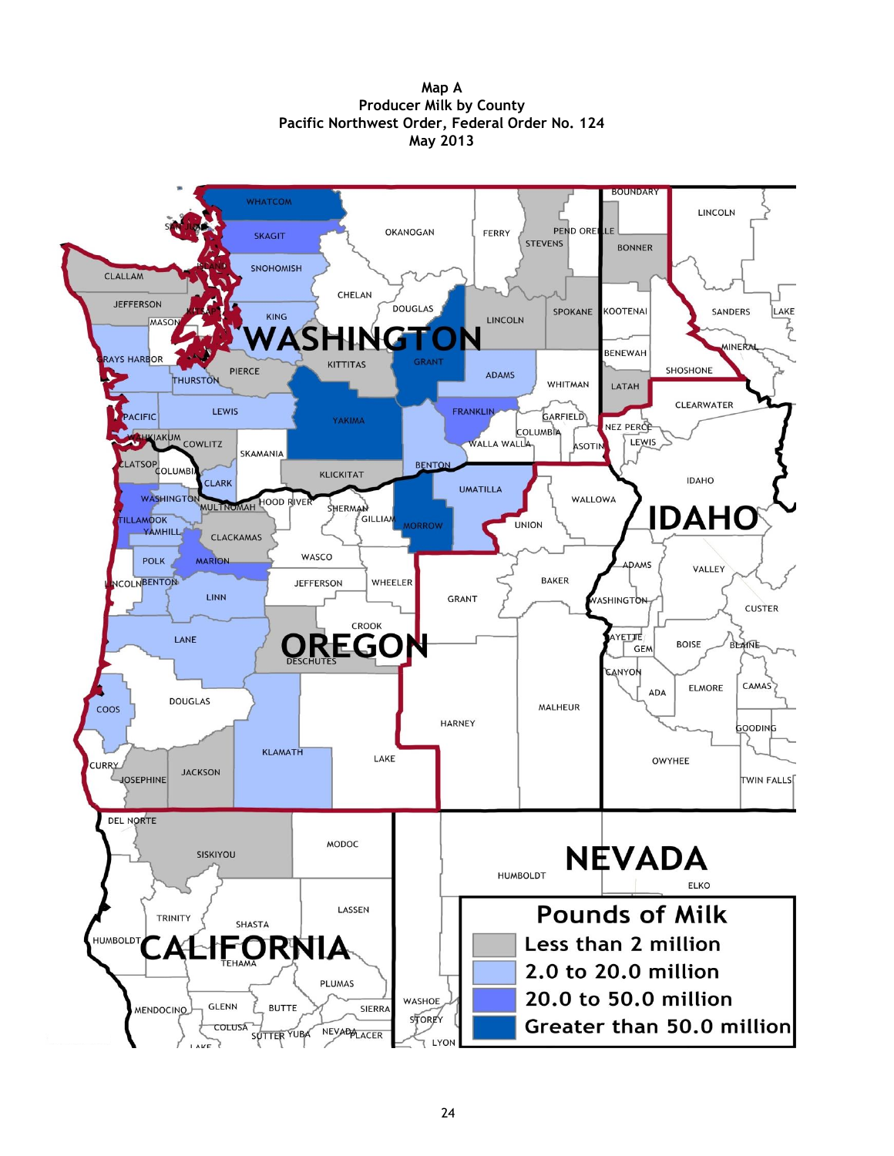**Map A Producer Milk by County Pacific Northwest Order, Federal Order No. 124 May 2013**